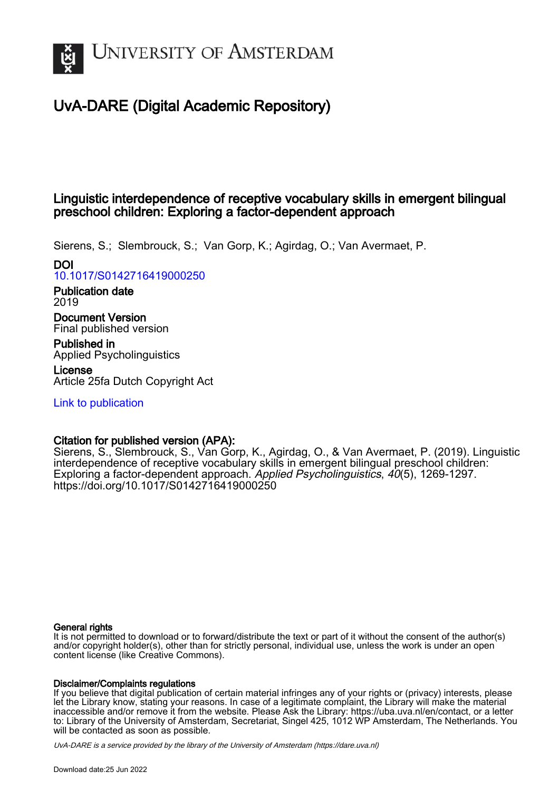

# UvA-DARE (Digital Academic Repository)

# Linguistic interdependence of receptive vocabulary skills in emergent bilingual preschool children: Exploring a factor-dependent approach

Sierens, S.; Slembrouck, S.; Van Gorp, K.; Agirdag, O.; Van Avermaet, P.

# DOI

[10.1017/S0142716419000250](https://doi.org/10.1017/S0142716419000250)

Publication date 2019

Document Version Final published version

Published in Applied Psycholinguistics

License Article 25fa Dutch Copyright Act

[Link to publication](https://dare.uva.nl/personal/pure/en/publications/linguistic-interdependence-of-receptive-vocabulary-skills-in-emergent-bilingual-preschool-children-exploring-a-factordependent-approach(b514dabb-d421-4fea-b84d-b5eba1837e15).html)

# Citation for published version (APA):

Sierens, S., Slembrouck, S., Van Gorp, K., Agirdag, O., & Van Avermaet, P. (2019). Linguistic interdependence of receptive vocabulary skills in emergent bilingual preschool children: Exploring a factor-dependent approach. Applied Psycholinguistics, 40(5), 1269-1297. <https://doi.org/10.1017/S0142716419000250>

# General rights

It is not permitted to download or to forward/distribute the text or part of it without the consent of the author(s) and/or copyright holder(s), other than for strictly personal, individual use, unless the work is under an open content license (like Creative Commons).

# Disclaimer/Complaints regulations

If you believe that digital publication of certain material infringes any of your rights or (privacy) interests, please let the Library know, stating your reasons. In case of a legitimate complaint, the Library will make the material inaccessible and/or remove it from the website. Please Ask the Library: https://uba.uva.nl/en/contact, or a letter to: Library of the University of Amsterdam, Secretariat, Singel 425, 1012 WP Amsterdam, The Netherlands. You will be contacted as soon as possible.

UvA-DARE is a service provided by the library of the University of Amsterdam (http*s*://dare.uva.nl)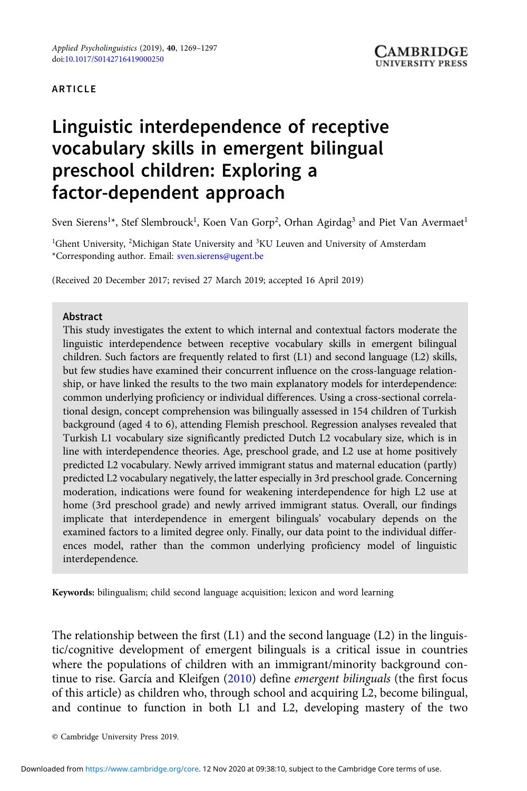#### ARTICLE

# Linguistic interdependence of receptive vocabulary skills in emergent bilingual preschool children: Exploring a factor-dependent approach

Sven Sierens<sup>1</sup>\*, Stef Slembrouck<sup>1</sup>, Koen Van Gorp<sup>2</sup>, Orhan Agirdag<sup>3</sup> and Piet Van Avermaet<sup>1</sup>

<sup>1</sup>Ghent University, <sup>2</sup>Michigan State University and <sup>3</sup>KU Leuven and University of Amsterdam \*Corresponding author. Email: [sven.sierens@ugent.be](mailto:sven.sierens@ugent.be)

(Received 20 December 2017; revised 27 March 2019; accepted 16 April 2019)

#### Abstract

This study investigates the extent to which internal and contextual factors moderate the linguistic interdependence between receptive vocabulary skills in emergent bilingual children. Such factors are frequently related to first (L1) and second language (L2) skills, but few studies have examined their concurrent influence on the cross-language relationship, or have linked the results to the two main explanatory models for interdependence: common underlying proficiency or individual differences. Using a cross-sectional correlational design, concept comprehension was bilingually assessed in 154 children of Turkish background (aged 4 to 6), attending Flemish preschool. Regression analyses revealed that Turkish L1 vocabulary size significantly predicted Dutch L2 vocabulary size, which is in line with interdependence theories. Age, preschool grade, and L2 use at home positively predicted L2 vocabulary. Newly arrived immigrant status and maternal education (partly) predicted L2 vocabulary negatively, the latter especially in 3rd preschool grade. Concerning moderation, indications were found for weakening interdependence for high L2 use at home (3rd preschool grade) and newly arrived immigrant status. Overall, our findings implicate that interdependence in emergent bilinguals' vocabulary depends on the examined factors to a limited degree only. Finally, our data point to the individual differences model, rather than the common underlying proficiency model of linguistic interdependence.

Keywords: bilingualism; child second language acquisition; lexicon and word learning

The relationship between the first  $(L1)$  and the second language  $(L2)$  in the linguistic/cognitive development of emergent bilinguals is a critical issue in countries where the populations of children with an immigrant/minority background con-tinue to rise. García and Kleifgen [\(2010\)](#page-25-0) define emergent bilinguals (the first focus of this article) as children who, through school and acquiring L2, become bilingual, and continue to function in both L1 and L2, developing mastery of the two

<sup>©</sup> Cambridge University Press 2019.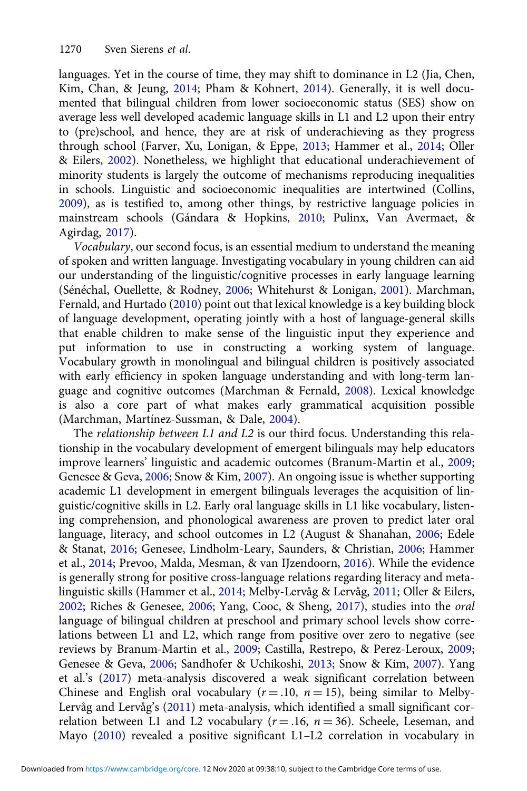languages. Yet in the course of time, they may shift to dominance in L2 (Jia, Chen, Kim, Chan, & Jeung, [2014](#page-26-0); Pham & Kohnert, [2014\)](#page-27-0). Generally, it is well documented that bilingual children from lower socioeconomic status (SES) show on average less well developed academic language skills in L1 and L2 upon their entry to (pre)school, and hence, they are at risk of underachieving as they progress through school (Farver, Xu, Lonigan, & Eppe, [2013](#page-25-0); Hammer et al., [2014](#page-26-0); Oller & Eilers, [2002\)](#page-27-0). Nonetheless, we highlight that educational underachievement of minority students is largely the outcome of mechanisms reproducing inequalities in schools. Linguistic and socioeconomic inequalities are intertwined (Collins, [2009\)](#page-24-0), as is testified to, among other things, by restrictive language policies in mainstream schools (Gándara & Hopkins, [2010](#page-25-0); Pulinx, Van Avermaet, & Agirdag, [2017\)](#page-27-0).

Vocabulary, our second focus, is an essential medium to understand the meaning of spoken and written language. Investigating vocabulary in young children can aid our understanding of the linguistic/cognitive processes in early language learning (Sénéchal, Ouellette, & Rodney, [2006](#page-28-0); Whitehurst & Lonigan, [2001\)](#page-28-0). Marchman, Fernald, and Hurtado ([2010](#page-26-0)) point out that lexical knowledge is a key building block of language development, operating jointly with a host of language-general skills that enable children to make sense of the linguistic input they experience and put information to use in constructing a working system of language. Vocabulary growth in monolingual and bilingual children is positively associated with early efficiency in spoken language understanding and with long-term language and cognitive outcomes (Marchman & Fernald, [2008\)](#page-26-0). Lexical knowledge is also a core part of what makes early grammatical acquisition possible (Marchman, Martínez-Sussman, & Dale, [2004\)](#page-26-0).

The relationship between L1 and L2 is our third focus. Understanding this relationship in the vocabulary development of emergent bilinguals may help educators improve learners' linguistic and academic outcomes (Branum-Martin et al., [2009;](#page-24-0) Genesee & Geva, [2006](#page-25-0); Snow & Kim, [2007\)](#page-28-0). An ongoing issue is whether supporting academic L1 development in emergent bilinguals leverages the acquisition of linguistic/cognitive skills in L2. Early oral language skills in L1 like vocabulary, listening comprehension, and phonological awareness are proven to predict later oral language, literacy, and school outcomes in L2 (August & Shanahan, [2006;](#page-24-0) Edele & Stanat, [2016;](#page-25-0) Genesee, Lindholm-Leary, Saunders, & Christian, [2006](#page-25-0); Hammer et al., [2014](#page-26-0); Prevoo, Malda, Mesman, & van IJzendoorn, [2016\)](#page-27-0). While the evidence is generally strong for positive cross-language relations regarding literacy and metalinguistic skills (Hammer et al., [2014](#page-26-0); Melby-Lervåg & Lervåg, [2011;](#page-26-0) Oller & Eilers, [2002;](#page-27-0) Riches & Genesee, [2006;](#page-27-0) Yang, Cooc, & Sheng, [2017\)](#page-29-0), studies into the oral language of bilingual children at preschool and primary school levels show correlations between L1 and L2, which range from positive over zero to negative (see reviews by Branum-Martin et al., [2009;](#page-24-0) Castilla, Restrepo, & Perez-Leroux, [2009;](#page-24-0) Genesee & Geva, [2006](#page-25-0); Sandhofer & Uchikoshi, [2013;](#page-28-0) Snow & Kim, [2007\)](#page-28-0). Yang et al.'s [\(2017\)](#page-29-0) meta-analysis discovered a weak significant correlation between Chinese and English oral vocabulary ( $r = .10$ ,  $n = 15$ ), being similar to Melby-Lervåg and Lervåg's ([2011](#page-26-0)) meta-analysis, which identified a small significant correlation between L1 and L2 vocabulary ( $r = .16$ ,  $n = 36$ ). Scheele, Leseman, and Mayo ([2010](#page-28-0)) revealed a positive significant L1–L2 correlation in vocabulary in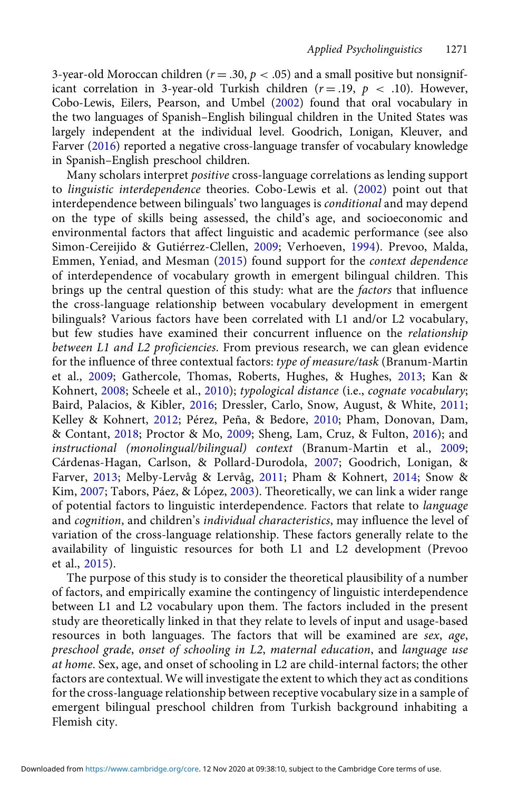3-year-old Moroccan children ( $r = .30$ ,  $p < .05$ ) and a small positive but nonsignificant correlation in 3-year-old Turkish children ( $r = .19$ ,  $p < .10$ ). However, Cobo-Lewis, Eilers, Pearson, and Umbel [\(2002\)](#page-24-0) found that oral vocabulary in the two languages of Spanish–English bilingual children in the United States was largely independent at the individual level. Goodrich, Lonigan, Kleuver, and Farver [\(2016\)](#page-25-0) reported a negative cross-language transfer of vocabulary knowledge in Spanish–English preschool children.

Many scholars interpret positive cross-language correlations as lending support to linguistic interdependence theories. Cobo-Lewis et al. ([2002\)](#page-24-0) point out that interdependence between bilinguals' two languages is conditional and may depend on the type of skills being assessed, the child's age, and socioeconomic and environmental factors that affect linguistic and academic performance (see also Simon-Cereijido & Gutiérrez-Clellen, [2009;](#page-28-0) Verhoeven, [1994\)](#page-28-0). Prevoo, Malda, Emmen, Yeniad, and Mesman ([2015\)](#page-27-0) found support for the context dependence of interdependence of vocabulary growth in emergent bilingual children. This brings up the central question of this study: what are the *factors* that influence the cross-language relationship between vocabulary development in emergent bilinguals? Various factors have been correlated with L1 and/or L2 vocabulary, but few studies have examined their concurrent influence on the relationship between L1 and L2 proficiencies. From previous research, we can glean evidence for the influence of three contextual factors: type of measure/task (Branum-Martin et al., [2009](#page-24-0); Gathercole, Thomas, Roberts, Hughes, & Hughes, [2013](#page-25-0); Kan & Kohnert, [2008;](#page-26-0) Scheele et al., [2010](#page-28-0)); typological distance (i.e., cognate vocabulary; Baird, Palacios, & Kibler, [2016](#page-24-0); Dressler, Carlo, Snow, August, & White, [2011](#page-25-0); Kelley & Kohnert, [2012;](#page-26-0) Pérez, Peña, & Bedore, [2010;](#page-27-0) Pham, Donovan, Dam, & Contant, [2018;](#page-27-0) Proctor & Mo, [2009;](#page-27-0) Sheng, Lam, Cruz, & Fulton, [2016](#page-28-0)); and instructional (monolingual/bilingual) context (Branum-Martin et al., [2009](#page-24-0); Cárdenas-Hagan, Carlson, & Pollard-Durodola, [2007](#page-24-0); Goodrich, Lonigan, & Farver, [2013](#page-25-0); Melby-Lervåg & Lervåg, [2011](#page-26-0); Pham & Kohnert, [2014](#page-27-0); Snow & Kim, [2007;](#page-28-0) Tabors, Páez, & López, [2003](#page-28-0)). Theoretically, we can link a wider range of potential factors to linguistic interdependence. Factors that relate to language and cognition, and children's individual characteristics, may influence the level of variation of the cross-language relationship. These factors generally relate to the availability of linguistic resources for both L1 and L2 development (Prevoo et al., [2015\)](#page-27-0).

The purpose of this study is to consider the theoretical plausibility of a number of factors, and empirically examine the contingency of linguistic interdependence between L1 and L2 vocabulary upon them. The factors included in the present study are theoretically linked in that they relate to levels of input and usage-based resources in both languages. The factors that will be examined are sex, age, preschool grade, onset of schooling in L2, maternal education, and language use at home. Sex, age, and onset of schooling in L2 are child-internal factors; the other factors are contextual. We will investigate the extent to which they act as conditions for the cross-language relationship between receptive vocabulary size in a sample of emergent bilingual preschool children from Turkish background inhabiting a Flemish city.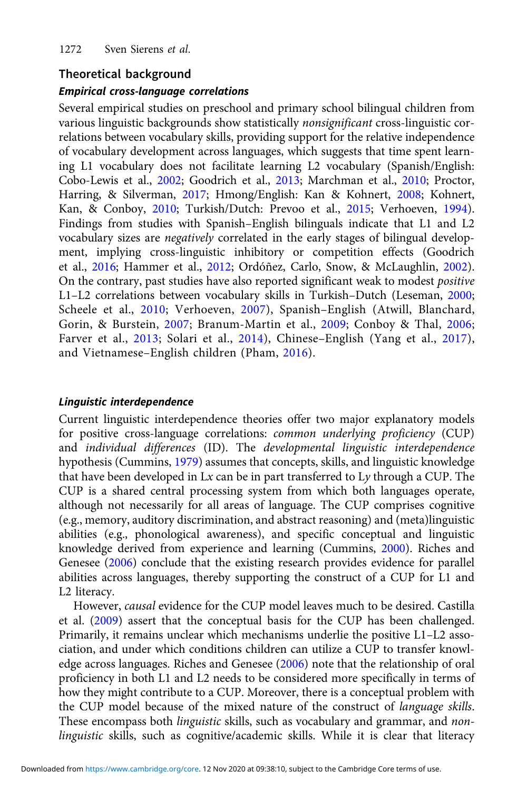# Theoretical background

#### Empirical cross-language correlations

Several empirical studies on preschool and primary school bilingual children from various linguistic backgrounds show statistically nonsignificant cross-linguistic correlations between vocabulary skills, providing support for the relative independence of vocabulary development across languages, which suggests that time spent learning L1 vocabulary does not facilitate learning L2 vocabulary (Spanish/English: Cobo-Lewis et al., [2002](#page-24-0); Goodrich et al., [2013](#page-25-0); Marchman et al., [2010](#page-26-0); Proctor, Harring, & Silverman, [2017;](#page-27-0) Hmong/English: Kan & Kohnert, [2008](#page-26-0); Kohnert, Kan, & Conboy, [2010](#page-26-0); Turkish/Dutch: Prevoo et al., [2015](#page-27-0); Verhoeven, [1994](#page-28-0)). Findings from studies with Spanish–English bilinguals indicate that L1 and L2 vocabulary sizes are negatively correlated in the early stages of bilingual development, implying cross-linguistic inhibitory or competition effects (Goodrich et al., [2016;](#page-25-0) Hammer et al., [2012;](#page-26-0) Ordóñez, Carlo, Snow, & McLaughlin, [2002](#page-27-0)). On the contrary, past studies have also reported significant weak to modest positive L1–L2 correlations between vocabulary skills in Turkish–Dutch (Leseman, [2000;](#page-26-0) Scheele et al., [2010](#page-28-0); Verhoeven, [2007](#page-28-0)), Spanish–English (Atwill, Blanchard, Gorin, & Burstein, [2007;](#page-24-0) Branum-Martin et al., [2009;](#page-24-0) Conboy & Thal, [2006;](#page-24-0) Farver et al., [2013;](#page-25-0) Solari et al., [2014](#page-28-0)), Chinese–English (Yang et al., [2017\)](#page-29-0), and Vietnamese–English children (Pham, [2016\)](#page-27-0).

#### Linguistic interdependence

Current linguistic interdependence theories offer two major explanatory models for positive cross-language correlations: common underlying proficiency (CUP) and individual differences (ID). The developmental linguistic interdependence hypothesis (Cummins, [1979](#page-25-0)) assumes that concepts, skills, and linguistic knowledge that have been developed in  $Lx$  can be in part transferred to  $Ly$  through a CUP. The CUP is a shared central processing system from which both languages operate, although not necessarily for all areas of language. The CUP comprises cognitive (e.g., memory, auditory discrimination, and abstract reasoning) and (meta)linguistic abilities (e.g., phonological awareness), and specific conceptual and linguistic knowledge derived from experience and learning (Cummins, [2000](#page-25-0)). Riches and Genesee ([2006](#page-27-0)) conclude that the existing research provides evidence for parallel abilities across languages, thereby supporting the construct of a CUP for L1 and L2 literacy.

However, causal evidence for the CUP model leaves much to be desired. Castilla et al. ([2009\)](#page-24-0) assert that the conceptual basis for the CUP has been challenged. Primarily, it remains unclear which mechanisms underlie the positive L1–L2 association, and under which conditions children can utilize a CUP to transfer knowledge across languages. Riches and Genesee [\(2006\)](#page-27-0) note that the relationship of oral proficiency in both L1 and L2 needs to be considered more specifically in terms of how they might contribute to a CUP. Moreover, there is a conceptual problem with the CUP model because of the mixed nature of the construct of language skills. These encompass both *linguistic* skills, such as vocabulary and grammar, and nonlinguistic skills, such as cognitive/academic skills. While it is clear that literacy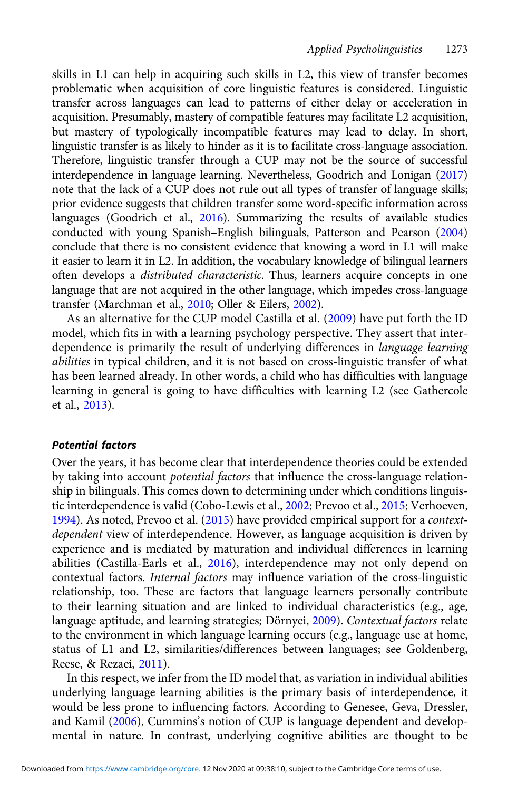skills in L1 can help in acquiring such skills in L2, this view of transfer becomes problematic when acquisition of core linguistic features is considered. Linguistic transfer across languages can lead to patterns of either delay or acceleration in acquisition. Presumably, mastery of compatible features may facilitate L2 acquisition, but mastery of typologically incompatible features may lead to delay. In short, linguistic transfer is as likely to hinder as it is to facilitate cross-language association. Therefore, linguistic transfer through a CUP may not be the source of successful interdependence in language learning. Nevertheless, Goodrich and Lonigan ([2017\)](#page-25-0) note that the lack of a CUP does not rule out all types of transfer of language skills; prior evidence suggests that children transfer some word-specific information across languages (Goodrich et al., [2016](#page-25-0)). Summarizing the results of available studies conducted with young Spanish–English bilinguals, Patterson and Pearson ([2004\)](#page-27-0) conclude that there is no consistent evidence that knowing a word in L1 will make it easier to learn it in L2. In addition, the vocabulary knowledge of bilingual learners often develops a distributed characteristic. Thus, learners acquire concepts in one language that are not acquired in the other language, which impedes cross-language transfer (Marchman et al., [2010](#page-26-0); Oller & Eilers, [2002\)](#page-27-0).

As an alternative for the CUP model Castilla et al. [\(2009\)](#page-24-0) have put forth the ID model, which fits in with a learning psychology perspective. They assert that interdependence is primarily the result of underlying differences in language learning abilities in typical children, and it is not based on cross-linguistic transfer of what has been learned already. In other words, a child who has difficulties with language learning in general is going to have difficulties with learning L2 (see Gathercole et al., [2013\)](#page-25-0).

#### Potential factors

Over the years, it has become clear that interdependence theories could be extended by taking into account potential factors that influence the cross-language relationship in bilinguals. This comes down to determining under which conditions linguistic interdependence is valid (Cobo-Lewis et al., [2002;](#page-24-0) Prevoo et al., [2015](#page-27-0); Verhoeven, [1994](#page-28-0)). As noted, Prevoo et al. ([2015\)](#page-27-0) have provided empirical support for a contextdependent view of interdependence. However, as language acquisition is driven by experience and is mediated by maturation and individual differences in learning abilities (Castilla-Earls et al., [2016\)](#page-24-0), interdependence may not only depend on contextual factors. Internal factors may influence variation of the cross-linguistic relationship, too. These are factors that language learners personally contribute to their learning situation and are linked to individual characteristics (e.g., age, language aptitude, and learning strategies; Dörnyei, [2009\)](#page-25-0). Contextual factors relate to the environment in which language learning occurs (e.g., language use at home, status of L1 and L2, similarities/differences between languages; see Goldenberg, Reese, & Rezaei, [2011](#page-25-0)).

In this respect, we infer from the ID model that, as variation in individual abilities underlying language learning abilities is the primary basis of interdependence, it would be less prone to influencing factors. According to Genesee, Geva, Dressler, and Kamil [\(2006\)](#page-25-0), Cummins's notion of CUP is language dependent and developmental in nature. In contrast, underlying cognitive abilities are thought to be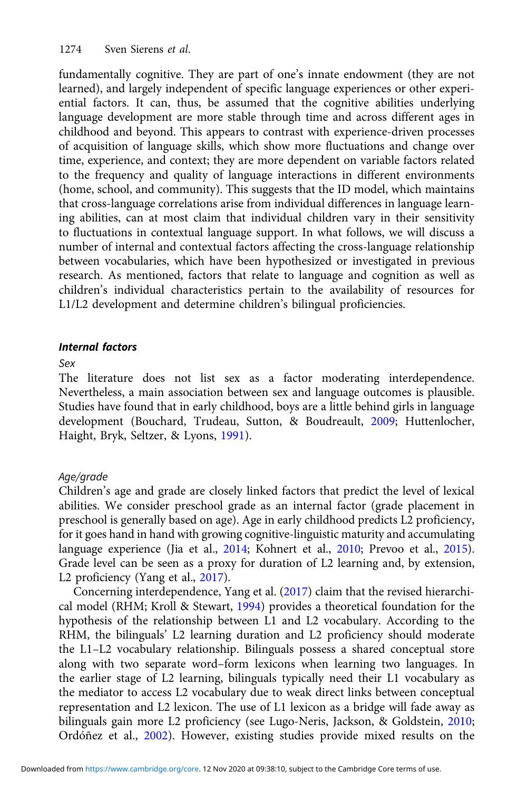fundamentally cognitive. They are part of one's innate endowment (they are not learned), and largely independent of specific language experiences or other experiential factors. It can, thus, be assumed that the cognitive abilities underlying language development are more stable through time and across different ages in childhood and beyond. This appears to contrast with experience-driven processes of acquisition of language skills, which show more fluctuations and change over time, experience, and context; they are more dependent on variable factors related to the frequency and quality of language interactions in different environments (home, school, and community). This suggests that the ID model, which maintains that cross-language correlations arise from individual differences in language learning abilities, can at most claim that individual children vary in their sensitivity to fluctuations in contextual language support. In what follows, we will discuss a number of internal and contextual factors affecting the cross-language relationship between vocabularies, which have been hypothesized or investigated in previous research. As mentioned, factors that relate to language and cognition as well as children's individual characteristics pertain to the availability of resources for L1/L2 development and determine children's bilingual proficiencies.

# Internal factors

## Sex

The literature does not list sex as a factor moderating interdependence. Nevertheless, a main association between sex and language outcomes is plausible. Studies have found that in early childhood, boys are a little behind girls in language development (Bouchard, Trudeau, Sutton, & Boudreault, [2009;](#page-24-0) Huttenlocher, Haight, Bryk, Seltzer, & Lyons, [1991](#page-26-0)).

# Age/grade

Children's age and grade are closely linked factors that predict the level of lexical abilities. We consider preschool grade as an internal factor (grade placement in preschool is generally based on age). Age in early childhood predicts L2 proficiency, for it goes hand in hand with growing cognitive-linguistic maturity and accumulating language experience (Jia et al., [2014;](#page-26-0) Kohnert et al., [2010;](#page-26-0) Prevoo et al., [2015](#page-27-0)). Grade level can be seen as a proxy for duration of L2 learning and, by extension, L2 proficiency (Yang et al., [2017\)](#page-29-0).

Concerning interdependence, Yang et al. ([2017\)](#page-29-0) claim that the revised hierarchical model (RHM; Kroll & Stewart, [1994](#page-26-0)) provides a theoretical foundation for the hypothesis of the relationship between L1 and L2 vocabulary. According to the RHM, the bilinguals' L2 learning duration and L2 proficiency should moderate the L1–L2 vocabulary relationship. Bilinguals possess a shared conceptual store along with two separate word–form lexicons when learning two languages. In the earlier stage of L2 learning, bilinguals typically need their L1 vocabulary as the mediator to access L2 vocabulary due to weak direct links between conceptual representation and L2 lexicon. The use of L1 lexicon as a bridge will fade away as bilinguals gain more L2 proficiency (see Lugo-Neris, Jackson, & Goldstein, [2010;](#page-26-0) Ordóñez et al., [2002](#page-27-0)). However, existing studies provide mixed results on the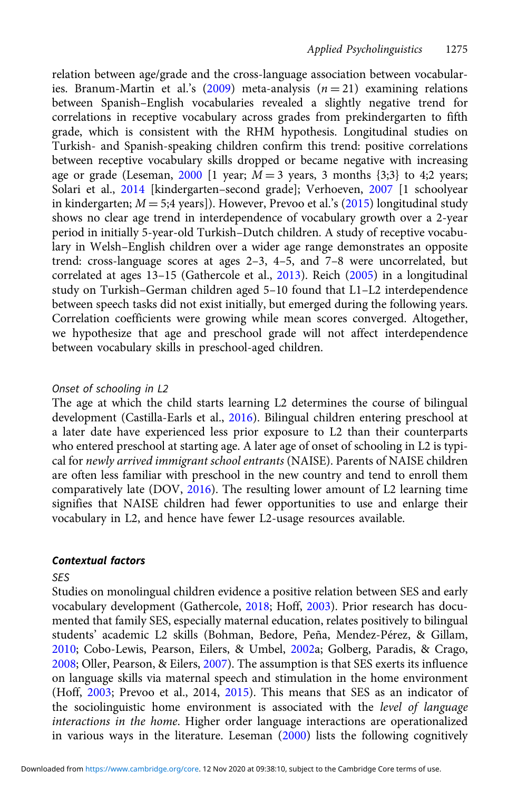relation between age/grade and the cross-language association between vocabular-ies. Branum-Martin et al.'s [\(2009\)](#page-24-0) meta-analysis  $(n = 21)$  examining relations between Spanish–English vocabularies revealed a slightly negative trend for correlations in receptive vocabulary across grades from prekindergarten to fifth grade, which is consistent with the RHM hypothesis. Longitudinal studies on Turkish- and Spanish-speaking children confirm this trend: positive correlations between receptive vocabulary skills dropped or became negative with increasing age or grade (Leseman, [2000](#page-26-0) [1 year;  $M = 3$  years, 3 months {3;3} to 4;2 years; Solari et al., [2014](#page-28-0) [kindergarten–second grade]; Verhoeven, [2007](#page-28-0) [1 schoolyear in kindergarten;  $M = 5;4$  years]). However, Prevoo et al.'s [\(2015](#page-27-0)) longitudinal study shows no clear age trend in interdependence of vocabulary growth over a 2-year period in initially 5-year-old Turkish–Dutch children. A study of receptive vocabulary in Welsh–English children over a wider age range demonstrates an opposite trend: cross-language scores at ages 2–3, 4–5, and 7–8 were uncorrelated, but correlated at ages 13–15 (Gathercole et al., [2013\)](#page-25-0). Reich ([2005](#page-27-0)) in a longitudinal study on Turkish–German children aged 5–10 found that L1–L2 interdependence between speech tasks did not exist initially, but emerged during the following years. Correlation coefficients were growing while mean scores converged. Altogether, we hypothesize that age and preschool grade will not affect interdependence between vocabulary skills in preschool-aged children.

#### Onset of schooling in L2

The age at which the child starts learning L2 determines the course of bilingual development (Castilla-Earls et al., [2016\)](#page-24-0). Bilingual children entering preschool at a later date have experienced less prior exposure to L2 than their counterparts who entered preschool at starting age. A later age of onset of schooling in L2 is typical for newly arrived immigrant school entrants (NAISE). Parents of NAISE children are often less familiar with preschool in the new country and tend to enroll them comparatively late (DOV, [2016\)](#page-25-0). The resulting lower amount of L2 learning time signifies that NAISE children had fewer opportunities to use and enlarge their vocabulary in L2, and hence have fewer L2-usage resources available.

#### Contextual factors

# SES

Studies on monolingual children evidence a positive relation between SES and early vocabulary development (Gathercole, [2018](#page-25-0); Hoff, [2003](#page-26-0)). Prior research has documented that family SES, especially maternal education, relates positively to bilingual students' academic L2 skills (Bohman, Bedore, Peña, Mendez-Pérez, & Gillam, [2010](#page-24-0); Cobo-Lewis, Pearson, Eilers, & Umbel, [2002](#page-24-0)a; Golberg, Paradis, & Crago, [2008](#page-25-0); Oller, Pearson, & Eilers, [2007\)](#page-27-0). The assumption is that SES exerts its influence on language skills via maternal speech and stimulation in the home environment (Hoff, [2003](#page-26-0); Prevoo et al., 2014, [2015\)](#page-27-0). This means that SES as an indicator of the sociolinguistic home environment is associated with the level of language interactions in the home. Higher order language interactions are operationalized in various ways in the literature. Leseman ([2000](#page-26-0)) lists the following cognitively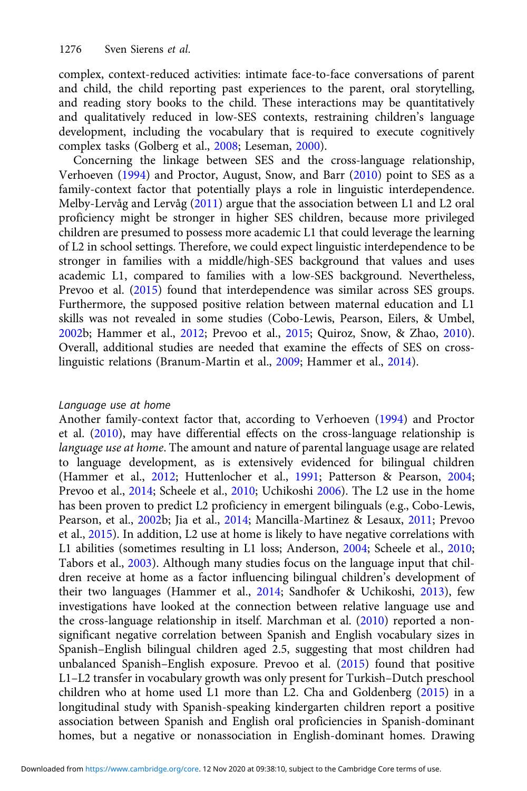complex, context-reduced activities: intimate face-to-face conversations of parent and child, the child reporting past experiences to the parent, oral storytelling, and reading story books to the child. These interactions may be quantitatively and qualitatively reduced in low-SES contexts, restraining children's language development, including the vocabulary that is required to execute cognitively complex tasks (Golberg et al., [2008;](#page-25-0) Leseman, [2000\)](#page-26-0).

Concerning the linkage between SES and the cross-language relationship, Verhoeven ([1994](#page-28-0)) and Proctor, August, Snow, and Barr [\(2010\)](#page-27-0) point to SES as a family-context factor that potentially plays a role in linguistic interdependence. Melby-Lervåg and Lervåg ([2011\)](#page-26-0) argue that the association between L1 and L2 oral proficiency might be stronger in higher SES children, because more privileged children are presumed to possess more academic L1 that could leverage the learning of L2 in school settings. Therefore, we could expect linguistic interdependence to be stronger in families with a middle/high-SES background that values and uses academic L1, compared to families with a low-SES background. Nevertheless, Prevoo et al. [\(2015\)](#page-27-0) found that interdependence was similar across SES groups. Furthermore, the supposed positive relation between maternal education and L1 skills was not revealed in some studies (Cobo-Lewis, Pearson, Eilers, & Umbel, [2002b](#page-24-0); Hammer et al., [2012](#page-26-0); Prevoo et al., [2015](#page-27-0); Quiroz, Snow, & Zhao, [2010](#page-27-0)). Overall, additional studies are needed that examine the effects of SES on crosslinguistic relations (Branum-Martin et al., [2009](#page-24-0); Hammer et al., [2014\)](#page-26-0).

#### Language use at home

Another family-context factor that, according to Verhoeven [\(1994\)](#page-28-0) and Proctor et al. [\(2010\)](#page-27-0), may have differential effects on the cross-language relationship is language use at home. The amount and nature of parental language usage are related to language development, as is extensively evidenced for bilingual children (Hammer et al., [2012](#page-26-0); Huttenlocher et al., [1991;](#page-26-0) Patterson & Pearson, [2004;](#page-27-0) Prevoo et al., [2014](#page-27-0); Scheele et al., [2010;](#page-28-0) Uchikoshi [2006\)](#page-28-0). The L2 use in the home has been proven to predict L2 proficiency in emergent bilinguals (e.g., Cobo-Lewis, Pearson, et al., [2002](#page-24-0)b; Jia et al., [2014](#page-26-0); Mancilla-Martinez & Lesaux, [2011](#page-26-0); Prevoo et al., [2015\)](#page-27-0). In addition, L2 use at home is likely to have negative correlations with L1 abilities (sometimes resulting in L1 loss; Anderson, [2004](#page-24-0); Scheele et al., [2010;](#page-28-0) Tabors et al., [2003](#page-28-0)). Although many studies focus on the language input that children receive at home as a factor influencing bilingual children's development of their two languages (Hammer et al., [2014](#page-26-0); Sandhofer & Uchikoshi, [2013](#page-28-0)), few investigations have looked at the connection between relative language use and the cross-language relationship in itself. Marchman et al. ([2010](#page-26-0)) reported a nonsignificant negative correlation between Spanish and English vocabulary sizes in Spanish–English bilingual children aged 2.5, suggesting that most children had unbalanced Spanish–English exposure. Prevoo et al. ([2015](#page-27-0)) found that positive L1–L2 transfer in vocabulary growth was only present for Turkish–Dutch preschool children who at home used L1 more than L2. Cha and Goldenberg [\(2015\)](#page-24-0) in a longitudinal study with Spanish-speaking kindergarten children report a positive association between Spanish and English oral proficiencies in Spanish-dominant homes, but a negative or nonassociation in English-dominant homes. Drawing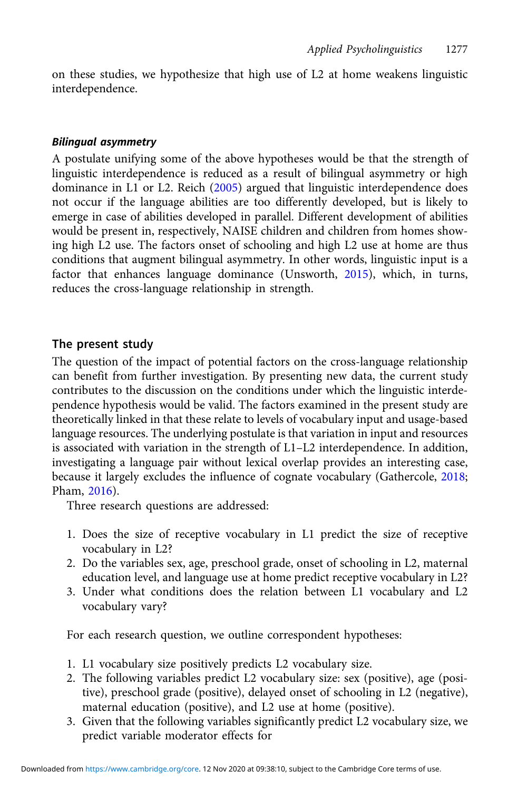on these studies, we hypothesize that high use of L2 at home weakens linguistic interdependence.

# Bilingual asymmetry

A postulate unifying some of the above hypotheses would be that the strength of linguistic interdependence is reduced as a result of bilingual asymmetry or high dominance in L1 or L2. Reich ([2005\)](#page-27-0) argued that linguistic interdependence does not occur if the language abilities are too differently developed, but is likely to emerge in case of abilities developed in parallel. Different development of abilities would be present in, respectively, NAISE children and children from homes showing high L2 use. The factors onset of schooling and high L2 use at home are thus conditions that augment bilingual asymmetry. In other words, linguistic input is a factor that enhances language dominance (Unsworth, [2015](#page-28-0)), which, in turns, reduces the cross-language relationship in strength.

# The present study

The question of the impact of potential factors on the cross-language relationship can benefit from further investigation. By presenting new data, the current study contributes to the discussion on the conditions under which the linguistic interdependence hypothesis would be valid. The factors examined in the present study are theoretically linked in that these relate to levels of vocabulary input and usage-based language resources. The underlying postulate is that variation in input and resources is associated with variation in the strength of L1–L2 interdependence. In addition, investigating a language pair without lexical overlap provides an interesting case, because it largely excludes the influence of cognate vocabulary (Gathercole, [2018](#page-25-0); Pham, [2016\)](#page-27-0).

Three research questions are addressed:

- 1. Does the size of receptive vocabulary in L1 predict the size of receptive vocabulary in L2?
- 2. Do the variables sex, age, preschool grade, onset of schooling in L2, maternal education level, and language use at home predict receptive vocabulary in L2?
- 3. Under what conditions does the relation between L1 vocabulary and L2 vocabulary vary?

For each research question, we outline correspondent hypotheses:

- 1. L1 vocabulary size positively predicts L2 vocabulary size.
- 2. The following variables predict L2 vocabulary size: sex (positive), age (positive), preschool grade (positive), delayed onset of schooling in L2 (negative), maternal education (positive), and L2 use at home (positive).
- 3. Given that the following variables significantly predict L2 vocabulary size, we predict variable moderator effects for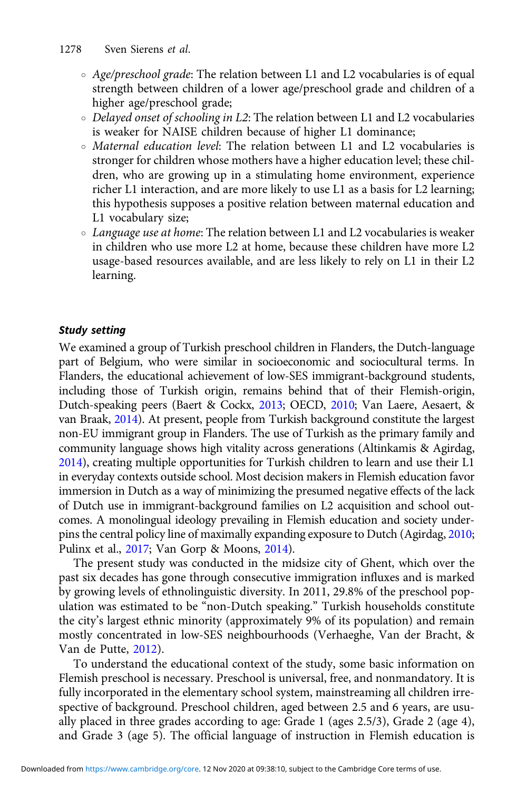- $\circ$  Age/preschool grade: The relation between L1 and L2 vocabularies is of equal strength between children of a lower age/preschool grade and children of a higher age/preschool grade;
- *Delayed onset of schooling in L2*: The relation between L1 and L2 vocabularies is weaker for NAISE children because of higher L1 dominance;
- Maternal education level: The relation between L1 and L2 vocabularies is stronger for children whose mothers have a higher education level; these children, who are growing up in a stimulating home environment, experience richer L1 interaction, and are more likely to use L1 as a basis for L2 learning; this hypothesis supposes a positive relation between maternal education and L1 vocabulary size;
- Language use at home: The relation between L1 and L2 vocabularies is weaker in children who use more L2 at home, because these children have more L2 usage-based resources available, and are less likely to rely on L1 in their L2 learning.

## Study setting

We examined a group of Turkish preschool children in Flanders, the Dutch-language part of Belgium, who were similar in socioeconomic and sociocultural terms. In Flanders, the educational achievement of low-SES immigrant-background students, including those of Turkish origin, remains behind that of their Flemish-origin, Dutch-speaking peers (Baert & Cockx, [2013](#page-24-0); OECD, [2010;](#page-27-0) Van Laere, Aesaert, & van Braak, [2014\)](#page-28-0). At present, people from Turkish background constitute the largest non-EU immigrant group in Flanders. The use of Turkish as the primary family and community language shows high vitality across generations (Altinkamis & Agirdag, [2014](#page-23-0)), creating multiple opportunities for Turkish children to learn and use their L1 in everyday contexts outside school. Most decision makers in Flemish education favor immersion in Dutch as a way of minimizing the presumed negative effects of the lack of Dutch use in immigrant-background families on L2 acquisition and school outcomes. A monolingual ideology prevailing in Flemish education and society underpins the central policy line of maximally expanding exposure to Dutch (Agirdag, [2010;](#page-23-0) Pulinx et al., [2017;](#page-27-0) Van Gorp & Moons, [2014\)](#page-28-0).

The present study was conducted in the midsize city of Ghent, which over the past six decades has gone through consecutive immigration influxes and is marked by growing levels of ethnolinguistic diversity. In 2011, 29.8% of the preschool population was estimated to be "non-Dutch speaking." Turkish households constitute the city's largest ethnic minority (approximately 9% of its population) and remain mostly concentrated in low-SES neighbourhoods (Verhaeghe, Van der Bracht, & Van de Putte, [2012](#page-28-0)).

To understand the educational context of the study, some basic information on Flemish preschool is necessary. Preschool is universal, free, and nonmandatory. It is fully incorporated in the elementary school system, mainstreaming all children irrespective of background. Preschool children, aged between 2.5 and 6 years, are usually placed in three grades according to age: Grade 1 (ages 2.5/3), Grade 2 (age 4), and Grade 3 (age 5). The official language of instruction in Flemish education is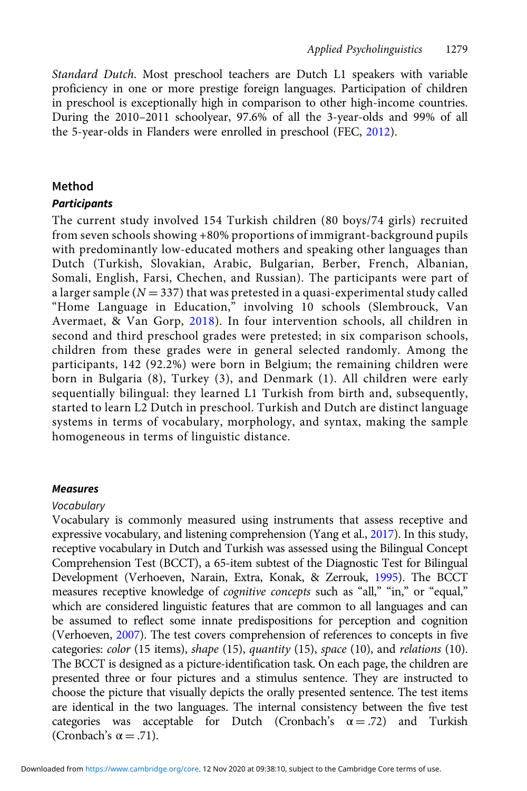Standard Dutch. Most preschool teachers are Dutch L1 speakers with variable proficiency in one or more prestige foreign languages. Participation of children in preschool is exceptionally high in comparison to other high-income countries. During the 2010–2011 schoolyear, 97.6% of all the 3-year-olds and 99% of all the 5-year-olds in Flanders were enrolled in preschool (FEC, [2012](#page-25-0)).

# Method

# **Participants**

The current study involved 154 Turkish children (80 boys/74 girls) recruited from seven schools showing +80% proportions of immigrant-background pupils with predominantly low-educated mothers and speaking other languages than Dutch (Turkish, Slovakian, Arabic, Bulgarian, Berber, French, Albanian, Somali, English, Farsi, Chechen, and Russian). The participants were part of a larger sample ( $N = 337$ ) that was pretested in a quasi-experimental study called "Home Language in Education," involving 10 schools (Slembrouck, Van Avermaet, & Van Gorp, [2018\)](#page-28-0). In four intervention schools, all children in second and third preschool grades were pretested; in six comparison schools, children from these grades were in general selected randomly. Among the participants, 142 (92.2%) were born in Belgium; the remaining children were born in Bulgaria (8), Turkey (3), and Denmark (1). All children were early sequentially bilingual: they learned L1 Turkish from birth and, subsequently, started to learn L2 Dutch in preschool. Turkish and Dutch are distinct language systems in terms of vocabulary, morphology, and syntax, making the sample homogeneous in terms of linguistic distance.

#### Measures

#### Vocabulary

Vocabulary is commonly measured using instruments that assess receptive and expressive vocabulary, and listening comprehension (Yang et al., [2017](#page-29-0)). In this study, receptive vocabulary in Dutch and Turkish was assessed using the Bilingual Concept Comprehension Test (BCCT), a 65-item subtest of the Diagnostic Test for Bilingual Development (Verhoeven, Narain, Extra, Konak, & Zerrouk, [1995](#page-28-0)). The BCCT measures receptive knowledge of *cognitive concepts* such as "all," "in," or "equal," which are considered linguistic features that are common to all languages and can be assumed to reflect some innate predispositions for perception and cognition (Verhoeven, [2007](#page-28-0)). The test covers comprehension of references to concepts in five categories: color (15 items), shape (15), quantity (15), space (10), and relations (10). The BCCT is designed as a picture-identification task. On each page, the children are presented three or four pictures and a stimulus sentence. They are instructed to choose the picture that visually depicts the orally presented sentence. The test items are identical in the two languages. The internal consistency between the five test categories was acceptable for Dutch (Cronbach's  $\alpha = .72$ ) and Turkish (Cronbach's  $\alpha = .71$ ).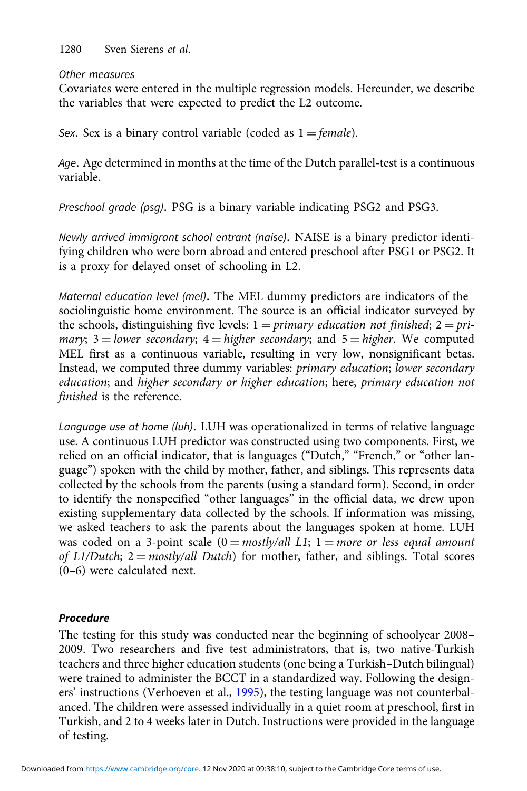1280 Sven Sierens et al.

#### Other measures

Covariates were entered in the multiple regression models. Hereunder, we describe the variables that were expected to predict the L2 outcome.

Sex. Sex is a binary control variable (coded as  $1 = female$ ).

Age. Age determined in months at the time of the Dutch parallel-test is a continuous variable.

Preschool grade (psg). PSG is a binary variable indicating PSG2 and PSG3.

Newly arrived immigrant school entrant (naise). NAISE is a binary predictor identifying children who were born abroad and entered preschool after PSG1 or PSG2. It is a proxy for delayed onset of schooling in L2.

Maternal education level (mel). The MEL dummy predictors are indicators of the sociolinguistic home environment. The source is an official indicator surveyed by the schools, distinguishing five levels:  $1 = primary$  *education not finished*;  $2 = pri$ mary; 3 = lower secondary; 4 = higher secondary; and  $5 =$  higher. We computed MEL first as a continuous variable, resulting in very low, nonsignificant betas. Instead, we computed three dummy variables: primary education; lower secondary education; and higher secondary or higher education; here, primary education not finished is the reference.

Language use at home (luh). LUH was operationalized in terms of relative language use. A continuous LUH predictor was constructed using two components. First, we relied on an official indicator, that is languages ("Dutch," "French," or "other language") spoken with the child by mother, father, and siblings. This represents data collected by the schools from the parents (using a standard form). Second, in order to identify the nonspecified "other languages" in the official data, we drew upon existing supplementary data collected by the schools. If information was missing, we asked teachers to ask the parents about the languages spoken at home. LUH was coded on a 3-point scale  $(0 = \text{mostly/all } L1; 1 = \text{more or less equal amount})$ of  $L1/D$ utch;  $2 = \text{mostly}/all \text{ Dutch}$  for mother, father, and siblings. Total scores (0–6) were calculated next.

# Procedure

The testing for this study was conducted near the beginning of schoolyear 2008– 2009. Two researchers and five test administrators, that is, two native-Turkish teachers and three higher education students (one being a Turkish–Dutch bilingual) were trained to administer the BCCT in a standardized way. Following the designers' instructions (Verhoeven et al., [1995](#page-28-0)), the testing language was not counterbalanced. The children were assessed individually in a quiet room at preschool, first in Turkish, and 2 to 4 weeks later in Dutch. Instructions were provided in the language of testing.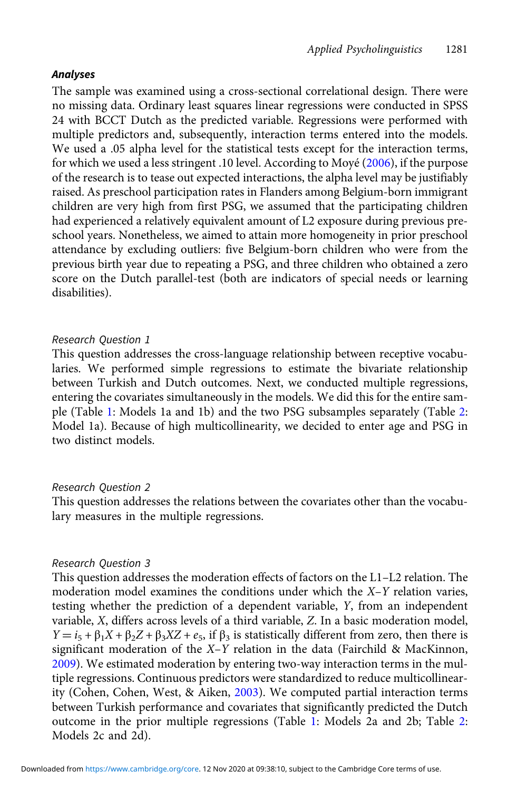#### Analyses

The sample was examined using a cross-sectional correlational design. There were no missing data. Ordinary least squares linear regressions were conducted in SPSS 24 with BCCT Dutch as the predicted variable. Regressions were performed with multiple predictors and, subsequently, interaction terms entered into the models. We used a .05 alpha level for the statistical tests except for the interaction terms, for which we used a less stringent .10 level. According to Moyé [\(2006](#page-26-0)), if the purpose of the research is to tease out expected interactions, the alpha level may be justifiably raised. As preschool participation rates in Flanders among Belgium-born immigrant children are very high from first PSG, we assumed that the participating children had experienced a relatively equivalent amount of L2 exposure during previous preschool years. Nonetheless, we aimed to attain more homogeneity in prior preschool attendance by excluding outliers: five Belgium-born children who were from the previous birth year due to repeating a PSG, and three children who obtained a zero score on the Dutch parallel-test (both are indicators of special needs or learning disabilities).

#### Research Question 1

This question addresses the cross-language relationship between receptive vocabularies. We performed simple regressions to estimate the bivariate relationship between Turkish and Dutch outcomes. Next, we conducted multiple regressions, entering the covariates simultaneously in the models. We did this for the entire sample (Table [1](#page-14-0): Models 1a and 1b) and the two PSG subsamples separately (Table [2](#page-15-0): Model 1a). Because of high multicollinearity, we decided to enter age and PSG in two distinct models.

#### Research Question 2

This question addresses the relations between the covariates other than the vocabulary measures in the multiple regressions.

#### Research Question 3

This question addresses the moderation effects of factors on the L1–L2 relation. The moderation model examines the conditions under which the  $X-Y$  relation varies, testing whether the prediction of a dependent variable, Y, from an independent variable, X, differs across levels of a third variable, Z. In a basic moderation model,  $Y = i_5 + \beta_1 X + \beta_2 Z + \beta_3 XZ + e_5$ , if  $\beta_3$  is statistically different from zero, then there is significant moderation of the X–Y relation in the data (Fairchild & MacKinnon, [2009](#page-25-0)). We estimated moderation by entering two-way interaction terms in the multiple regressions. Continuous predictors were standardized to reduce multicollinearity (Cohen, Cohen, West, & Aiken, [2003](#page-24-0)). We computed partial interaction terms between Turkish performance and covariates that significantly predicted the Dutch outcome in the prior multiple regressions (Table [1:](#page-14-0) Models 2a and 2b; Table [2](#page-15-0): Models 2c and 2d).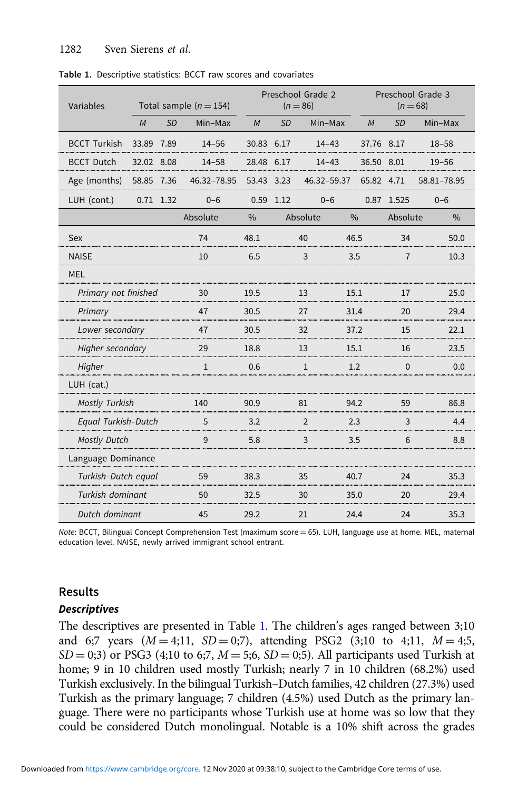| Variables<br>Total sample $(n = 154)$ |            |             |              |                | Preschool Grade 2<br>$(n = 86)$ |              | Preschool Grade 3<br>$(n = 68)$ |                |               |  |
|---------------------------------------|------------|-------------|--------------|----------------|---------------------------------|--------------|---------------------------------|----------------|---------------|--|
|                                       | M          | <b>SD</b>   | Min-Max      | M              | <b>SD</b>                       | Min-Max      | M                               | SD             | Min-Max       |  |
| <b>BCCT Turkish</b>                   | 33.89 7.89 |             | $14 - 56$    | 30.83 6.17     |                                 | $14 - 43$    | 37.76 8.17                      |                | $18 - 58$     |  |
| <b>BCCT Dutch</b>                     | 32.02 8.08 |             | $14 - 58$    | 28.48 6.17     |                                 | $14 - 43$    | 36.50 8.01                      |                | $19 - 56$     |  |
| Age (months)                          | 58.85      | 7.36        | 46.32-78.95  | 53.43          | 3.23                            | 46.32-59.37  | 65.82                           | 4.71           | 58.81-78.95   |  |
| LUH (cont.)                           |            | $0.71$ 1.32 | $0 - 6$      | 0.59           | 1.12                            | $0 - 6$      | 0.87                            | 1.525          | $0 - 6$       |  |
|                                       |            |             | Absolute     | $\frac{0}{0}$  |                                 | Absolute     | $\frac{0}{0}$                   | Absolute       | $\frac{0}{0}$ |  |
| Sex                                   |            |             | 74           | 48.1           |                                 | 40           | 46.5                            | 34             | 50.0          |  |
| <b>NAISE</b>                          |            |             | 10           | 6.5            |                                 | 3            | 3.5                             | $\overline{7}$ | 10.3          |  |
| <b>MEL</b>                            |            |             |              |                |                                 |              |                                 |                |               |  |
| Primary not finished                  |            |             | 30           | 19.5           |                                 | 13<br>15.1   |                                 | 17             | 25.0          |  |
| Primary                               |            | 47          | 30.5         | 27<br>31.4     |                                 |              | 20                              | 29.4           |               |  |
| Lower secondary                       |            | 47          | 30.5         | 32             |                                 | 37.2         | 15                              | 22.1           |               |  |
| Higher secondary                      |            | 29          | 18.8         | 13             |                                 | 15.1         | 16                              | 23.5           |               |  |
| Higher                                |            |             | $\mathbf{1}$ | 0.6            |                                 | $\mathbf{1}$ | 1.2                             | $\mathbf 0$    | 0.0           |  |
| LUH (cat.)                            |            |             |              |                |                                 |              |                                 |                |               |  |
| <b>Mostly Turkish</b>                 |            | 140         | 90.9         | 81             |                                 | 94.2         | 59                              | 86.8           |               |  |
| Equal Turkish-Dutch                   |            | 5           | 3.2          | $\overline{2}$ |                                 | 2.3          | 3                               | 4.4            |               |  |
| <b>Mostly Dutch</b>                   |            | 9           | 5.8          | 3              |                                 | 3.5          | 6                               | 8.8            |               |  |
| Language Dominance                    |            |             |              |                |                                 |              |                                 |                |               |  |
| Turkish-Dutch equal                   |            | 59          | 38.3         | 35             |                                 | 40.7         | 24                              | 35.3           |               |  |
| Turkish dominant                      |            | 50          | 32.5         | 30             |                                 | 35.0         | 20                              | 29.4           |               |  |
| Dutch dominant                        |            | 45          | 29.2         | 21             |                                 | 24.4         | 24                              | 35.3           |               |  |

<span id="page-14-0"></span>Table 1. Descriptive statistics: BCCT raw scores and covariates

Note: BCCT, Bilingual Concept Comprehension Test (maximum score = 65). LUH, language use at home. MEL, maternal education level. NAISE, newly arrived immigrant school entrant.

#### Results

#### **Descriptives**

The descriptives are presented in Table 1. The children's ages ranged between 3;10 and 6;7 years  $(M = 4;11, SD = 0;7)$ , attending PSG2  $(3;10 \text{ to } 4;11, M = 4;5,$  $SD = 0;3$ ) or PSG3 (4;10 to 6;7,  $M = 5;6$ ,  $SD = 0;5$ ). All participants used Turkish at home; 9 in 10 children used mostly Turkish; nearly 7 in 10 children (68.2%) used Turkish exclusively. In the bilingual Turkish–Dutch families, 42 children (27.3%) used Turkish as the primary language; 7 children (4.5%) used Dutch as the primary language. There were no participants whose Turkish use at home was so low that they could be considered Dutch monolingual. Notable is a 10% shift across the grades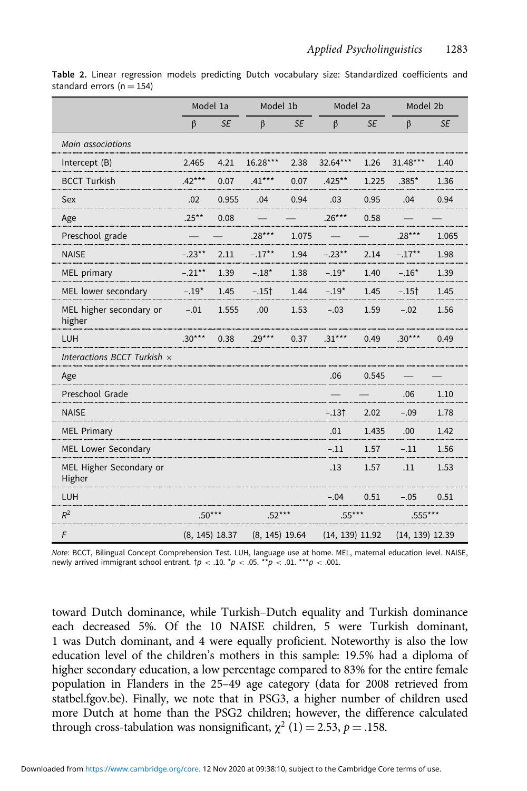|                                    | Model 1a         |           | Model 1b         |           | Model 2a          |           | Model 2b          |           |
|------------------------------------|------------------|-----------|------------------|-----------|-------------------|-----------|-------------------|-----------|
|                                    | $\beta$          | <b>SE</b> | $\beta$          | <b>SE</b> | $\beta$           | <b>SE</b> | $\beta$           | <b>SE</b> |
| Main associations                  |                  |           |                  |           |                   |           |                   |           |
| Intercept $(B)$                    | 2.465            | 4.21      | 16.28***         | 2.38      | 32.64***          | 1.26      | 31.48***          | 1.40      |
| <b>BCCT Turkish</b>                | $.42***$         | 0.07      | $.41***$         | 0.07      | $.425***$         | 1.225     | $.385*$           | 1.36      |
| Sex                                | .02              | 0.955     | .04              | 0.94      | .03               | 0.95      | .04               | 0.94      |
| Age                                | $.25***$         | 0.08      |                  |           | $.26***$          | 0.58      |                   |           |
| Preschool grade                    |                  |           | $.28***$         | 1.075     |                   |           | $.28***$          | 1.065     |
| <b>NAISE</b>                       | $-.23***$        | 2.11      | $-.17***$        | 1.94      | $-.23***$         | 2.14      | $-.17***$         | 1.98      |
| MEL primary                        | $-.21***$        | 1.39      | $-.18*$          | 1.38      | $-.19*$           | 1.40      | $-.16*$           | 1.39      |
| MEL lower secondary                | $-.19*$          | 1.45      | $-.15†$          | 1.44      | $-.19*$           | 1.45      | $-.15†$           | 1.45      |
| MEL higher secondary or<br>higher  | $-.01$           | 1.555     | .00              | 1.53      | $-.03$            | 1.59      | $-.02$            | 1.56      |
| LUH                                | $.30***$         | 0.38      | $.29***$         | 0.37      | $.31***$          | 0.49      | $.30***$          | 0.49      |
| Interactions BCCT Turkish $\times$ |                  |           |                  |           |                   |           |                   |           |
| Age                                |                  |           |                  |           | .06               | 0.545     |                   |           |
| Preschool Grade                    |                  |           |                  |           |                   |           | .06               | 1.10      |
| <b>NAISE</b>                       |                  |           |                  |           | -.13†             | 2.02      | $-.09$            | 1.78      |
| <b>MEL Primary</b>                 |                  |           |                  |           | .01               | 1.435     | .00               | 1.42      |
| MEL Lower Secondary                |                  |           |                  |           | $-.11$            | 1.57      | $-.11$            | 1.56      |
| MEL Higher Secondary or<br>Higher  |                  |           |                  |           | .13               | 1.57      | .11               | 1.53      |
| LUH                                |                  |           |                  |           | $-.04$            | 0.51      | $-.05$            | 0.51      |
| $R^2$                              | $.50***$         |           | $.52***$         |           | $.55***$          |           | $.555***$         |           |
| F                                  | $(8, 145)$ 18.37 |           | $(8, 145)$ 19.64 |           | $(14, 139)$ 11.92 |           | $(14, 139)$ 12.39 |           |

<span id="page-15-0"></span>Table 2. Linear regression models predicting Dutch vocabulary size: Standardized coefficients and standard errors ( $n = 154$ )

Note: BCCT, Bilingual Concept Comprehension Test. LUH, language use at home. MEL, maternal education level. NAISE, newly arrived immigrant school entrant.  $\dagger p < .10$ . \*p < .05. \*\*p < .01. \*\*\*p < .001.

toward Dutch dominance, while Turkish–Dutch equality and Turkish dominance each decreased 5%. Of the 10 NAISE children, 5 were Turkish dominant, 1 was Dutch dominant, and 4 were equally proficient. Noteworthy is also the low education level of the children's mothers in this sample: 19.5% had a diploma of higher secondary education, a low percentage compared to 83% for the entire female population in Flanders in the 25–49 age category (data for 2008 retrieved from statbel.fgov.be). Finally, we note that in PSG3, a higher number of children used more Dutch at home than the PSG2 children; however, the difference calculated through cross-tabulation was nonsignificant,  $\chi^2$  (1) = 2.53, p = .158.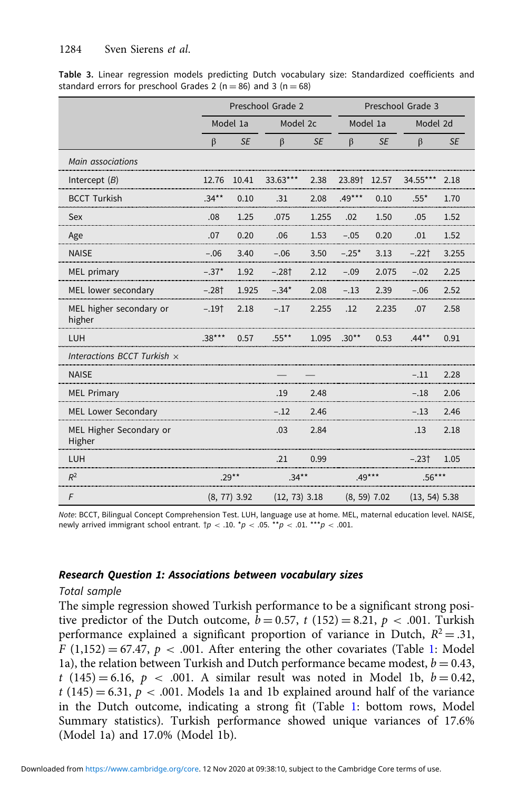|                                    |                | Preschool Grade 2 |          |                 |          | Preschool Grade 3 |          |                 |  |  |
|------------------------------------|----------------|-------------------|----------|-----------------|----------|-------------------|----------|-----------------|--|--|
|                                    |                | Model 1a          | Model 2c |                 | Model 1a |                   | Model 2d |                 |  |  |
|                                    | $\beta$        | <b>SE</b>         | $\beta$  | <b>SE</b>       | $\beta$  | <b>SE</b>         | $\beta$  | <b>SE</b>       |  |  |
| Main associations                  |                |                   |          |                 |          |                   |          |                 |  |  |
| Intercept $(B)$                    | 12.76          | 10.41             | 33.63*** | 2.38            | 23.89†   | 12.57             | 34.55*** | 2.18            |  |  |
| <b>BCCT Turkish</b>                | $34**$         | 0.10              | .31      | 2.08            | $.49***$ | 0.10              | $.55*$   | 1.70            |  |  |
| Sex                                | .08            | 1.25              | .075     | 1.255           | .02      | 1.50              | .05      | 1.52            |  |  |
| Age                                | .07            | 0.20              | .06      | 1.53            | $-.05$   | 0.20              | .01      | 1.52            |  |  |
| <b>NAISE</b>                       | $-.06$         | 3.40              | $-.06$   | 3.50            | $-.25*$  | 3.13              | $-.221$  | 3.255           |  |  |
| MEL primary                        | $-.37*$        | 1.92              | $-.28†$  | 2.12            | $-.09$   | 2.075             | $-.02$   | 2.25            |  |  |
| MEL lower secondary                | $-.28†$        | 1.925             | $-.34*$  | 2.08            | $-.13$   | 2.39              | $-.06$   | 2.52            |  |  |
| MEL higher secondary or<br>higher  | $-.19†$        | 2.18              | $-.17$   | 2.255           | .12      | 2.235             | .07      | 2.58            |  |  |
| LUH                                | $.38***$       | 0.57              | $.55***$ | 1.095           | $.30**$  | 0.53              | $.44***$ | 0.91            |  |  |
| Interactions BCCT Turkish $\times$ |                |                   |          |                 |          |                   |          |                 |  |  |
| <b>NAISE</b>                       |                |                   |          |                 |          |                   | $-.11$   | 2.28            |  |  |
| <b>MEL Primary</b>                 |                |                   | .19      | 2.48            |          |                   | $-.18$   | 2.06            |  |  |
| MEL Lower Secondary                |                |                   | $-.12$   | 2.46            |          |                   | $-.13$   | 2.46            |  |  |
| MEL Higher Secondary or<br>Higher  |                |                   | .03      | 2.84            |          |                   | .13      | 2.18            |  |  |
| LUH                                |                |                   | .21      | 0.99            |          |                   | $-.23†$  | 1.05            |  |  |
| $R^2$                              | $.29**$        |                   |          | $.34***$        |          | $.49***$          |          | $.56***$        |  |  |
| $\sqrt{F}$                         | $(8, 77)$ 3.92 |                   |          | $(12, 73)$ 3.18 |          | $(8, 59)$ 7.02    |          | $(13, 54)$ 5.38 |  |  |

<span id="page-16-0"></span>Table 3. Linear regression models predicting Dutch vocabulary size: Standardized coefficients and standard errors for preschool Grades 2 ( $n = 86$ ) and 3 ( $n = 68$ )

Note: BCCT, Bilingual Concept Comprehension Test. LUH, language use at home. MEL, maternal education level. NAISE, newly arrived immigrant school entrant.  $\uparrow p < .10$ .  $\uparrow p < .05$ .  $\uparrow \uparrow p < .01$ .  $\uparrow \uparrow \uparrow p < .001$ .

#### Research Question 1: Associations between vocabulary sizes

#### Total sample

The simple regression showed Turkish performance to be a significant strong positive predictor of the Dutch outcome,  $b = 0.57$ , t (152) = 8.21, p < .001. Turkish performance explained a significant proportion of variance in Dutch,  $R^2 = .31$ ,  $F(1,152) = 67.47$  $F(1,152) = 67.47$  $F(1,152) = 67.47$ ,  $p < .001$ . After entering the other covariates (Table 1: Model 1a), the relation between Turkish and Dutch performance became modest,  $b = 0.43$ ,  $t (145) = 6.16, p < .001$ . A similar result was noted in Model 1b,  $b = 0.42$ ,  $t(145) = 6.31, p < .001$ . Models 1a and 1b explained around half of the variance in the Dutch outcome, indicating a strong fit (Table [1:](#page-14-0) bottom rows, Model Summary statistics). Turkish performance showed unique variances of 17.6% (Model 1a) and 17.0% (Model 1b).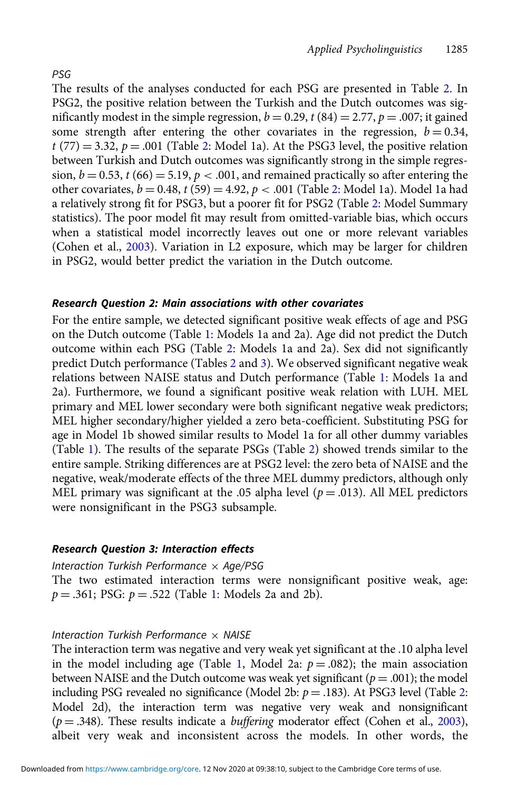The results of the analyses conducted for each PSG are presented in Table [2](#page-15-0). In PSG2, the positive relation between the Turkish and the Dutch outcomes was significantly modest in the simple regression,  $b = 0.29$ ,  $t(84) = 2.77$ ,  $p = .007$ ; it gained some strength after entering the other covariates in the regression,  $b = 0.34$ ,  $t$  (77) = 3.3[2](#page-15-0),  $p = .001$  (Table 2: Model 1a). At the PSG3 level, the positive relation between Turkish and Dutch outcomes was significantly strong in the simple regression,  $b = 0.53$ ,  $t (66) = 5.19$ ,  $p < .001$ , and remained practically so after entering the other covariates,  $b = 0.48$ ,  $t(59) = 4.92$  $t(59) = 4.92$ ,  $p < .001$  (Table 2: Model 1a). Model 1a had a relatively strong fit for PSG3, but a poorer fit for PSG2 (Table [2:](#page-15-0) Model Summary statistics). The poor model fit may result from omitted-variable bias, which occurs when a statistical model incorrectly leaves out one or more relevant variables (Cohen et al., [2003\)](#page-24-0). Variation in L2 exposure, which may be larger for children

#### Research Question 2: Main associations with other covariates

in PSG2, would better predict the variation in the Dutch outcome.

For the entire sample, we detected significant positive weak effects of age and PSG on the Dutch outcome (Table [1](#page-14-0): Models 1a and 2a). Age did not predict the Dutch outcome within each PSG (Table [2](#page-15-0): Models 1a and 2a). Sex did not significantly predict Dutch performance (Tables [2](#page-15-0) and [3\)](#page-16-0). We observed significant negative weak relations between NAISE status and Dutch performance (Table [1](#page-14-0): Models 1a and 2a). Furthermore, we found a significant positive weak relation with LUH. MEL primary and MEL lower secondary were both significant negative weak predictors; MEL higher secondary/higher yielded a zero beta-coefficient. Substituting PSG for age in Model 1b showed similar results to Model 1a for all other dummy variables (Table [1\)](#page-14-0). The results of the separate PSGs (Table [2](#page-15-0)) showed trends similar to the entire sample. Striking differences are at PSG2 level: the zero beta of NAISE and the negative, weak/moderate effects of the three MEL dummy predictors, although only MEL primary was significant at the .05 alpha level ( $p = .013$ ). All MEL predictors were nonsignificant in the PSG3 subsample.

#### Research Question 3: Interaction effects

#### Interaction Turkish Performance  $\times$  Age/PSG

The two estimated interaction terms were nonsignificant positive weak, age:  $p = .361$  $p = .361$ ; PSG:  $p = .522$  (Table 1: Models 2a and 2b).

#### Interaction Turkish Performance  $\times$  NAISE

The interaction term was negative and very weak yet significant at the .10 alpha level in the model including age (Table [1](#page-14-0), Model 2a:  $p = .082$ ); the main association between NAISE and the Dutch outcome was weak yet significant ( $p = .001$ ); the model including PSG revealed no significance (Model [2](#page-15-0)b:  $p = .183$ ). At PSG3 level (Table 2: Model 2d), the interaction term was negative very weak and nonsignificant  $(p=.348)$ . These results indicate a *buffering* moderator effect (Cohen et al., [2003\)](#page-24-0), albeit very weak and inconsistent across the models. In other words, the

#### PSG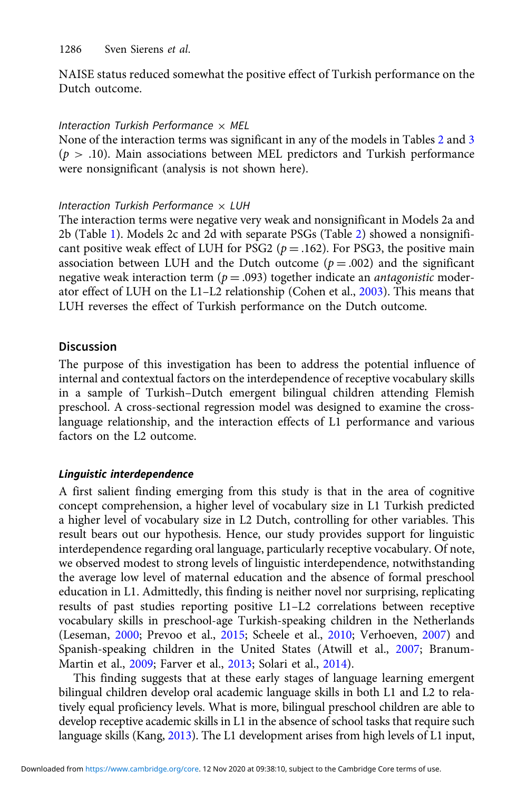NAISE status reduced somewhat the positive effect of Turkish performance on the Dutch outcome.

# Interaction Turkish Performance  $\times$  MEL

None of the interaction terms was significant in any of the models in Tables [2](#page-15-0) and [3](#page-16-0)  $(p > .10)$ . Main associations between MEL predictors and Turkish performance were nonsignificant (analysis is not shown here).

# Interaction Turkish Performance  $\times$  LUH

The interaction terms were negative very weak and nonsignificant in Models 2a and 2b (Table [1\)](#page-14-0). Models 2c and 2d with separate PSGs (Table [2\)](#page-15-0) showed a nonsignificant positive weak effect of LUH for PSG2 ( $p = .162$ ). For PSG3, the positive main association between LUH and the Dutch outcome ( $p = .002$ ) and the significant negative weak interaction term ( $p = .093$ ) together indicate an *antagonistic* moderator effect of LUH on the L1–L2 relationship (Cohen et al., [2003](#page-24-0)). This means that LUH reverses the effect of Turkish performance on the Dutch outcome.

# **Discussion**

The purpose of this investigation has been to address the potential influence of internal and contextual factors on the interdependence of receptive vocabulary skills in a sample of Turkish–Dutch emergent bilingual children attending Flemish preschool. A cross-sectional regression model was designed to examine the crosslanguage relationship, and the interaction effects of L1 performance and various factors on the L2 outcome.

# Linguistic interdependence

A first salient finding emerging from this study is that in the area of cognitive concept comprehension, a higher level of vocabulary size in L1 Turkish predicted a higher level of vocabulary size in L2 Dutch, controlling for other variables. This result bears out our hypothesis. Hence, our study provides support for linguistic interdependence regarding oral language, particularly receptive vocabulary. Of note, we observed modest to strong levels of linguistic interdependence, notwithstanding the average low level of maternal education and the absence of formal preschool education in L1. Admittedly, this finding is neither novel nor surprising, replicating results of past studies reporting positive L1–L2 correlations between receptive vocabulary skills in preschool-age Turkish-speaking children in the Netherlands (Leseman, [2000;](#page-26-0) Prevoo et al., [2015](#page-27-0); Scheele et al., [2010;](#page-28-0) Verhoeven, [2007\)](#page-28-0) and Spanish-speaking children in the United States (Atwill et al., [2007](#page-24-0); Branum-Martin et al., [2009](#page-24-0); Farver et al., [2013;](#page-25-0) Solari et al., [2014\)](#page-28-0).

This finding suggests that at these early stages of language learning emergent bilingual children develop oral academic language skills in both L1 and L2 to relatively equal proficiency levels. What is more, bilingual preschool children are able to develop receptive academic skills in L1 in the absence of school tasks that require such language skills (Kang, [2013\)](#page-26-0). The L1 development arises from high levels of L1 input,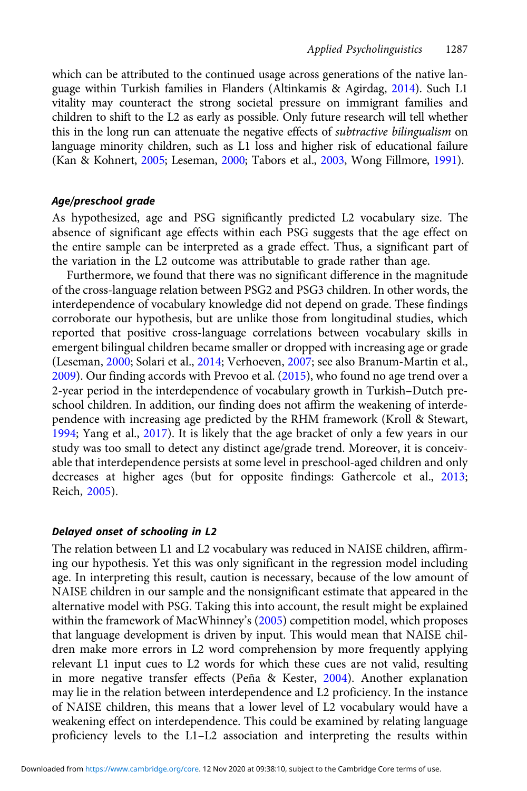which can be attributed to the continued usage across generations of the native language within Turkish families in Flanders (Altinkamis & Agirdag, [2014](#page-23-0)). Such L1 vitality may counteract the strong societal pressure on immigrant families and children to shift to the L2 as early as possible. Only future research will tell whether this in the long run can attenuate the negative effects of subtractive bilingualism on language minority children, such as L1 loss and higher risk of educational failure (Kan & Kohnert, [2005;](#page-26-0) Leseman, [2000](#page-26-0); Tabors et al., [2003](#page-28-0), Wong Fillmore, [1991\)](#page-29-0).

#### Age/preschool grade

As hypothesized, age and PSG significantly predicted L2 vocabulary size. The absence of significant age effects within each PSG suggests that the age effect on the entire sample can be interpreted as a grade effect. Thus, a significant part of the variation in the L2 outcome was attributable to grade rather than age.

Furthermore, we found that there was no significant difference in the magnitude of the cross-language relation between PSG2 and PSG3 children. In other words, the interdependence of vocabulary knowledge did not depend on grade. These findings corroborate our hypothesis, but are unlike those from longitudinal studies, which reported that positive cross-language correlations between vocabulary skills in emergent bilingual children became smaller or dropped with increasing age or grade (Leseman, [2000;](#page-26-0) Solari et al., [2014;](#page-28-0) Verhoeven, [2007;](#page-28-0) see also Branum-Martin et al., [2009](#page-24-0)). Our finding accords with Prevoo et al. ([2015](#page-27-0)), who found no age trend over a 2-year period in the interdependence of vocabulary growth in Turkish–Dutch preschool children. In addition, our finding does not affirm the weakening of interdependence with increasing age predicted by the RHM framework (Kroll & Stewart, [1994](#page-26-0); Yang et al., [2017\)](#page-29-0). It is likely that the age bracket of only a few years in our study was too small to detect any distinct age/grade trend. Moreover, it is conceivable that interdependence persists at some level in preschool-aged children and only decreases at higher ages (but for opposite findings: Gathercole et al., [2013](#page-25-0); Reich, [2005\)](#page-27-0).

#### Delayed onset of schooling in L2

The relation between L1 and L2 vocabulary was reduced in NAISE children, affirming our hypothesis. Yet this was only significant in the regression model including age. In interpreting this result, caution is necessary, because of the low amount of NAISE children in our sample and the nonsignificant estimate that appeared in the alternative model with PSG. Taking this into account, the result might be explained within the framework of MacWhinney's [\(2005](#page-26-0)) competition model, which proposes that language development is driven by input. This would mean that NAISE children make more errors in L2 word comprehension by more frequently applying relevant L1 input cues to L2 words for which these cues are not valid, resulting in more negative transfer effects (Peña & Kester,  $2004$ ). Another explanation may lie in the relation between interdependence and L2 proficiency. In the instance of NAISE children, this means that a lower level of L2 vocabulary would have a weakening effect on interdependence. This could be examined by relating language proficiency levels to the L1–L2 association and interpreting the results within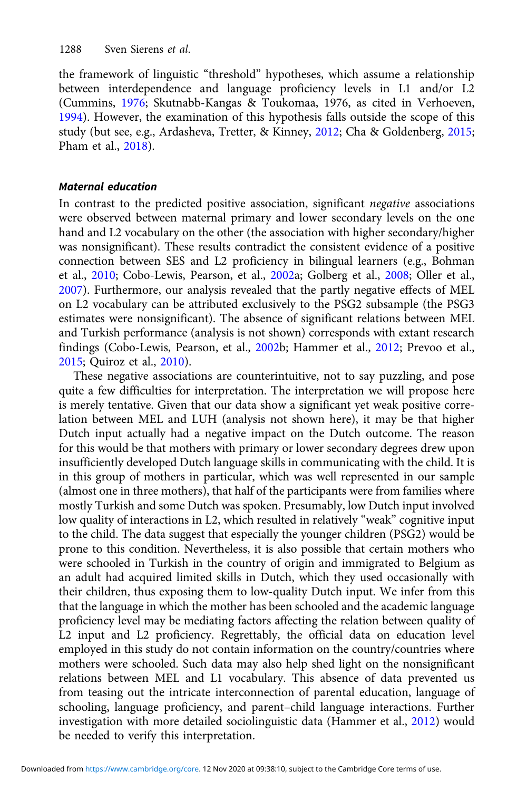the framework of linguistic "threshold" hypotheses, which assume a relationship between interdependence and language proficiency levels in L1 and/or L2 (Cummins, [1976;](#page-24-0) Skutnabb-Kangas & Toukomaa, 1976, as cited in Verhoeven, [1994\)](#page-28-0). However, the examination of this hypothesis falls outside the scope of this study (but see, e.g., Ardasheva, Tretter, & Kinney, [2012](#page-24-0); Cha & Goldenberg, [2015;](#page-24-0) Pham et al., [2018\)](#page-27-0).

# Maternal education

In contrast to the predicted positive association, significant negative associations were observed between maternal primary and lower secondary levels on the one hand and L2 vocabulary on the other (the association with higher secondary/higher was nonsignificant). These results contradict the consistent evidence of a positive connection between SES and L2 proficiency in bilingual learners (e.g., Bohman et al., [2010](#page-24-0); Cobo-Lewis, Pearson, et al., [2002a](#page-24-0); Golberg et al., [2008](#page-25-0); Oller et al., [2007\)](#page-27-0). Furthermore, our analysis revealed that the partly negative effects of MEL on L2 vocabulary can be attributed exclusively to the PSG2 subsample (the PSG3 estimates were nonsignificant). The absence of significant relations between MEL and Turkish performance (analysis is not shown) corresponds with extant research findings (Cobo-Lewis, Pearson, et al., [2002](#page-24-0)b; Hammer et al., [2012;](#page-26-0) Prevoo et al., [2015;](#page-27-0) Quiroz et al., [2010\)](#page-24-0).

These negative associations are counterintuitive, not to say puzzling, and pose quite a few difficulties for interpretation. The interpretation we will propose here is merely tentative. Given that our data show a significant yet weak positive correlation between MEL and LUH (analysis not shown here), it may be that higher Dutch input actually had a negative impact on the Dutch outcome. The reason for this would be that mothers with primary or lower secondary degrees drew upon insufficiently developed Dutch language skills in communicating with the child. It is in this group of mothers in particular, which was well represented in our sample (almost one in three mothers), that half of the participants were from families where mostly Turkish and some Dutch was spoken. Presumably, low Dutch input involved low quality of interactions in L2, which resulted in relatively "weak" cognitive input to the child. The data suggest that especially the younger children (PSG2) would be prone to this condition. Nevertheless, it is also possible that certain mothers who were schooled in Turkish in the country of origin and immigrated to Belgium as an adult had acquired limited skills in Dutch, which they used occasionally with their children, thus exposing them to low-quality Dutch input. We infer from this that the language in which the mother has been schooled and the academic language proficiency level may be mediating factors affecting the relation between quality of L2 input and L2 proficiency. Regrettably, the official data on education level employed in this study do not contain information on the country/countries where mothers were schooled. Such data may also help shed light on the nonsignificant relations between MEL and L1 vocabulary. This absence of data prevented us from teasing out the intricate interconnection of parental education, language of schooling, language proficiency, and parent–child language interactions. Further investigation with more detailed sociolinguistic data (Hammer et al., [2012\)](#page-26-0) would be needed to verify this interpretation.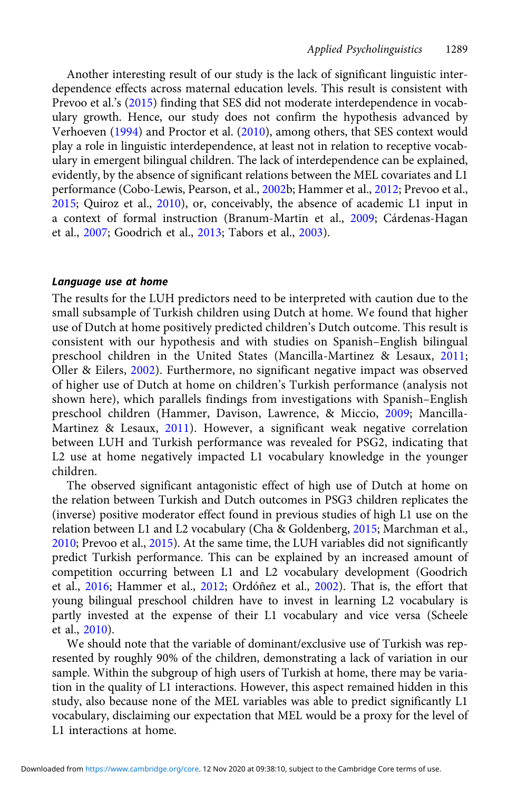Another interesting result of our study is the lack of significant linguistic interdependence effects across maternal education levels. This result is consistent with Prevoo et al.'s [\(2015](#page-27-0)) finding that SES did not moderate interdependence in vocabulary growth. Hence, our study does not confirm the hypothesis advanced by Verhoeven [\(1994](#page-28-0)) and Proctor et al. [\(2010\)](#page-27-0), among others, that SES context would play a role in linguistic interdependence, at least not in relation to receptive vocabulary in emergent bilingual children. The lack of interdependence can be explained, evidently, by the absence of significant relations between the MEL covariates and L1 performance (Cobo-Lewis, Pearson, et al., [2002b](#page-24-0); Hammer et al., [2012;](#page-26-0) Prevoo et al., [2015](#page-27-0); Quiroz et al., [2010\)](#page-27-0), or, conceivably, the absence of academic L1 input in a context of formal instruction (Branum-Martin et al., [2009](#page-24-0); Cárdenas-Hagan et al., [2007;](#page-24-0) Goodrich et al., [2013](#page-25-0); Tabors et al., [2003](#page-28-0)).

# Language use at home

The results for the LUH predictors need to be interpreted with caution due to the small subsample of Turkish children using Dutch at home. We found that higher use of Dutch at home positively predicted children's Dutch outcome. This result is consistent with our hypothesis and with studies on Spanish–English bilingual preschool children in the United States (Mancilla-Martinez & Lesaux, [2011](#page-26-0); Oller & Eilers, [2002\)](#page-27-0). Furthermore, no significant negative impact was observed of higher use of Dutch at home on children's Turkish performance (analysis not shown here), which parallels findings from investigations with Spanish–English preschool children (Hammer, Davison, Lawrence, & Miccio, [2009;](#page-26-0) Mancilla-Martinez & Lesaux, [2011\)](#page-26-0). However, a significant weak negative correlation between LUH and Turkish performance was revealed for PSG2, indicating that L2 use at home negatively impacted L1 vocabulary knowledge in the younger children.

The observed significant antagonistic effect of high use of Dutch at home on the relation between Turkish and Dutch outcomes in PSG3 children replicates the (inverse) positive moderator effect found in previous studies of high L1 use on the relation between L1 and L2 vocabulary (Cha & Goldenberg, [2015](#page-24-0); Marchman et al., [2010](#page-26-0); Prevoo et al., [2015\)](#page-27-0). At the same time, the LUH variables did not significantly predict Turkish performance. This can be explained by an increased amount of competition occurring between L1 and L2 vocabulary development (Goodrich et al., [2016](#page-25-0); Hammer et al., [2012;](#page-26-0) Ordóñez et al., [2002\)](#page-27-0). That is, the effort that young bilingual preschool children have to invest in learning L2 vocabulary is partly invested at the expense of their L1 vocabulary and vice versa (Scheele et al., [2010\)](#page-28-0).

We should note that the variable of dominant/exclusive use of Turkish was represented by roughly 90% of the children, demonstrating a lack of variation in our sample. Within the subgroup of high users of Turkish at home, there may be variation in the quality of L1 interactions. However, this aspect remained hidden in this study, also because none of the MEL variables was able to predict significantly L1 vocabulary, disclaiming our expectation that MEL would be a proxy for the level of L1 interactions at home.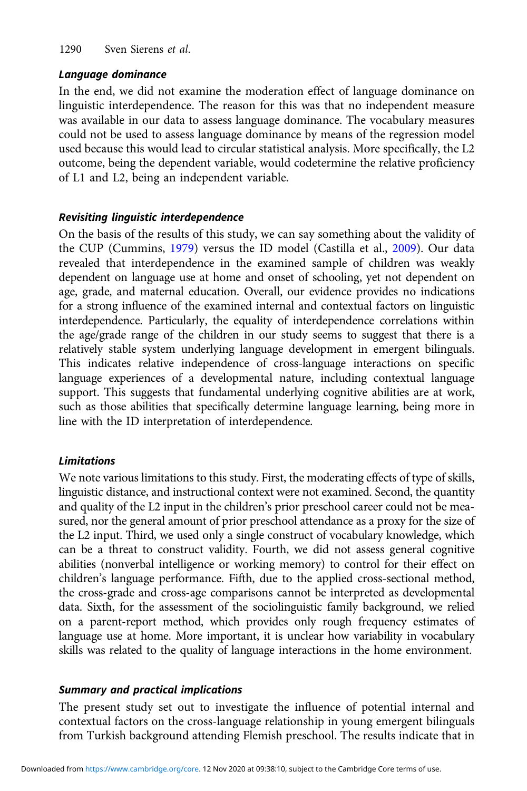### Language dominance

In the end, we did not examine the moderation effect of language dominance on linguistic interdependence. The reason for this was that no independent measure was available in our data to assess language dominance. The vocabulary measures could not be used to assess language dominance by means of the regression model used because this would lead to circular statistical analysis. More specifically, the L2 outcome, being the dependent variable, would codetermine the relative proficiency of L1 and L2, being an independent variable.

# Revisiting linguistic interdependence

On the basis of the results of this study, we can say something about the validity of the CUP (Cummins, [1979\)](#page-25-0) versus the ID model (Castilla et al., [2009](#page-24-0)). Our data revealed that interdependence in the examined sample of children was weakly dependent on language use at home and onset of schooling, yet not dependent on age, grade, and maternal education. Overall, our evidence provides no indications for a strong influence of the examined internal and contextual factors on linguistic interdependence. Particularly, the equality of interdependence correlations within the age/grade range of the children in our study seems to suggest that there is a relatively stable system underlying language development in emergent bilinguals. This indicates relative independence of cross-language interactions on specific language experiences of a developmental nature, including contextual language support. This suggests that fundamental underlying cognitive abilities are at work, such as those abilities that specifically determine language learning, being more in line with the ID interpretation of interdependence.

# Limitations

We note various limitations to this study. First, the moderating effects of type of skills, linguistic distance, and instructional context were not examined. Second, the quantity and quality of the L2 input in the children's prior preschool career could not be measured, nor the general amount of prior preschool attendance as a proxy for the size of the L2 input. Third, we used only a single construct of vocabulary knowledge, which can be a threat to construct validity. Fourth, we did not assess general cognitive abilities (nonverbal intelligence or working memory) to control for their effect on children's language performance. Fifth, due to the applied cross-sectional method, the cross-grade and cross-age comparisons cannot be interpreted as developmental data. Sixth, for the assessment of the sociolinguistic family background, we relied on a parent-report method, which provides only rough frequency estimates of language use at home. More important, it is unclear how variability in vocabulary skills was related to the quality of language interactions in the home environment.

# Summary and practical implications

The present study set out to investigate the influence of potential internal and contextual factors on the cross-language relationship in young emergent bilinguals from Turkish background attending Flemish preschool. The results indicate that in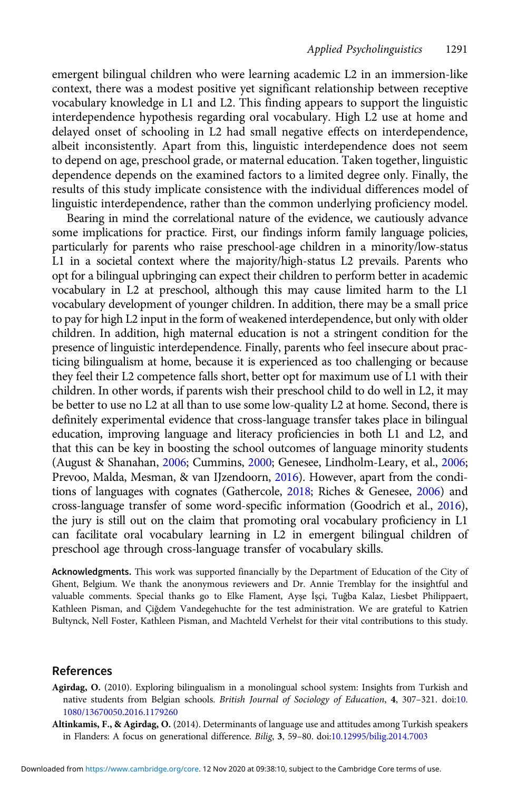<span id="page-23-0"></span>emergent bilingual children who were learning academic L2 in an immersion-like context, there was a modest positive yet significant relationship between receptive vocabulary knowledge in L1 and L2. This finding appears to support the linguistic interdependence hypothesis regarding oral vocabulary. High L2 use at home and delayed onset of schooling in L2 had small negative effects on interdependence, albeit inconsistently. Apart from this, linguistic interdependence does not seem to depend on age, preschool grade, or maternal education. Taken together, linguistic dependence depends on the examined factors to a limited degree only. Finally, the results of this study implicate consistence with the individual differences model of linguistic interdependence, rather than the common underlying proficiency model.

Bearing in mind the correlational nature of the evidence, we cautiously advance some implications for practice. First, our findings inform family language policies, particularly for parents who raise preschool-age children in a minority/low-status L1 in a societal context where the majority/high-status L2 prevails. Parents who opt for a bilingual upbringing can expect their children to perform better in academic vocabulary in L2 at preschool, although this may cause limited harm to the L1 vocabulary development of younger children. In addition, there may be a small price to pay for high L2 input in the form of weakened interdependence, but only with older children. In addition, high maternal education is not a stringent condition for the presence of linguistic interdependence. Finally, parents who feel insecure about practicing bilingualism at home, because it is experienced as too challenging or because they feel their L2 competence falls short, better opt for maximum use of L1 with their children. In other words, if parents wish their preschool child to do well in L2, it may be better to use no L2 at all than to use some low-quality L2 at home. Second, there is definitely experimental evidence that cross-language transfer takes place in bilingual education, improving language and literacy proficiencies in both L1 and L2, and that this can be key in boosting the school outcomes of language minority students (August & Shanahan, [2006](#page-24-0); Cummins, [2000](#page-25-0); Genesee, Lindholm-Leary, et al., [2006](#page-25-0); Prevoo, Malda, Mesman, & van IJzendoorn, [2016\)](#page-27-0). However, apart from the conditions of languages with cognates (Gathercole, [2018;](#page-25-0) Riches & Genesee, [2006\)](#page-27-0) and cross-language transfer of some word-specific information (Goodrich et al., [2016\)](#page-25-0), the jury is still out on the claim that promoting oral vocabulary proficiency in L1 can facilitate oral vocabulary learning in L2 in emergent bilingual children of preschool age through cross-language transfer of vocabulary skills.

Acknowledgments. This work was supported financially by the Department of Education of the City of Ghent, Belgium. We thank the anonymous reviewers and Dr. Annie Tremblay for the insightful and valuable comments. Special thanks go to Elke Flament, Ayşe İşçi, Tuğba Kalaz, Liesbet Philippaert, Kathleen Pisman, and Çiğdem Vandegehuchte for the test administration. We are grateful to Katrien Bultynck, Nell Foster, Kathleen Pisman, and Machteld Verhelst for their vital contributions to this study.

# References

- Agirdag, O. (2010). Exploring bilingualism in a monolingual school system: Insights from Turkish and native students from Belgian schools. British Journal of Sociology of Education, 4, 307-321. doi[:10.](https://doi.org/10.1080/13670050.2016.1179260) [1080/13670050.2016.1179260](https://doi.org/10.1080/13670050.2016.1179260)
- Altinkamis, F., & Agirdag, O. (2014). Determinants of language use and attitudes among Turkish speakers in Flanders: A focus on generational difference. Bilig, 3, 59–80. doi:[10.12995/bilig.2014.7003](https://doi.org/10.12995/bilig.2014.7003)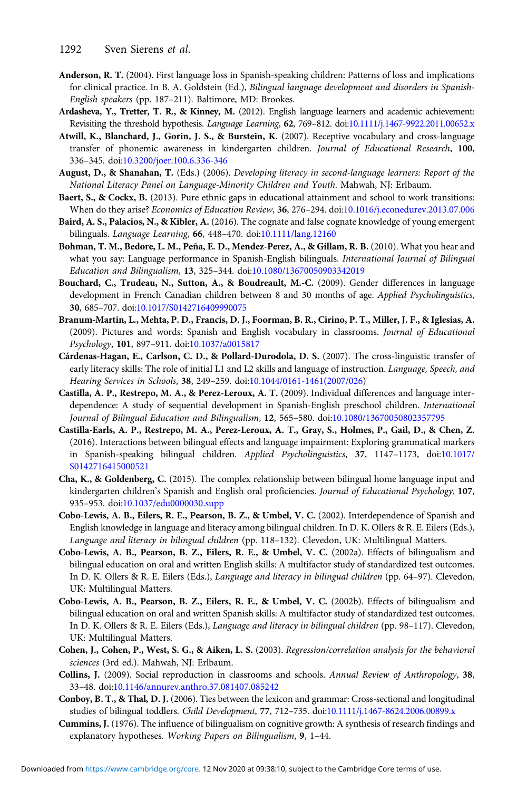- <span id="page-24-0"></span>Anderson, R. T. (2004). First language loss in Spanish-speaking children: Patterns of loss and implications for clinical practice. In B. A. Goldstein (Ed.), Bilingual language development and disorders in Spanish-English speakers (pp. 187–211). Baltimore, MD: Brookes.
- Ardasheva, Y., Tretter, T. R., & Kinney, M. (2012). English language learners and academic achievement: Revisiting the threshold hypothesis. Language Learning, 62, 769-812. doi[:10.1111/j.1467-9922.2011.00652.x](https://doi.org/10.1111/j.1467-9922.2011.00652.x)
- Atwill, K., Blanchard, J., Gorin, J. S., & Burstein, K. (2007). Receptive vocabulary and cross-language transfer of phonemic awareness in kindergarten children. Journal of Educational Research, 100, 336–345. doi[:10.3200/joer.100.6.336-346](https://doi.org/10.3200/joer.100.6.336-346)
- August, D., & Shanahan, T. (Eds.) (2006). Developing literacy in second-language learners: Report of the National Literacy Panel on Language-Minority Children and Youth. Mahwah, NJ: Erlbaum.
- Baert, S., & Cockx, B. (2013). Pure ethnic gaps in educational attainment and school to work transitions: When do they arise? Economics of Education Review, 36, 276–294. doi:[10.1016/j.econedurev.2013.07.006](https://doi.org/10.1016/j.econedurev.2013.07.006)
- Baird, A. S., Palacios, N., & Kibler, A. (2016). The cognate and false cognate knowledge of young emergent bilinguals. Language Learning, 66, 448–470. doi[:10.1111/lang.12160](https://doi.org/10.1111/lang.12160)
- Bohman, T. M., Bedore, L. M., Peña, E. D., Mendez-Perez, A., & Gillam, R. B. (2010). What you hear and what you say: Language performance in Spanish-English bilinguals. International Journal of Bilingual Education and Bilingualism, 13, 325–344. doi[:10.1080/13670050903342019](https://doi.org/10.1080/13670050903342019)
- Bouchard, C., Trudeau, N., Sutton, A., & Boudreault, M.-C. (2009). Gender differences in language development in French Canadian children between 8 and 30 months of age. Applied Psycholinguistics, 30, 685–707. doi:[10.1017/S0142716409990075](https://doi.org/10.1017/S0142716409990075)
- Branum-Martin, L., Mehta, P. D., Francis, D. J., Foorman, B. R., Cirino, P. T., Miller, J. F., & Iglesias, A. (2009). Pictures and words: Spanish and English vocabulary in classrooms. Journal of Educational Psychology, 101, 897–911. doi:[10.1037/a0015817](https://doi.org/10.1037/a0015817)
- Cárdenas-Hagan, E., Carlson, C. D., & Pollard-Durodola, D. S. (2007). The cross-linguistic transfer of early literacy skills: The role of initial L1 and L2 skills and language of instruction. Language, Speech, and Hearing Services in Schools, 38, 249–259. doi:[10.1044/0161-1461\(2007/026\)](https://doi.org/10.1044/0161-1461(2007/026)
- Castilla, A. P., Restrepo, M. A., & Perez-Leroux, A. T. (2009). Individual differences and language interdependence: A study of sequential development in Spanish-English preschool children. International Journal of Bilingual Education and Bilingualism, 12, 565–580. doi:[10.1080/13670050802357795](https://doi.org/10.1080/13670050802357795)
- Castilla-Earls, A. P., Restrepo, M. A., Perez-Leroux, A. T., Gray, S., Holmes, P., Gail, D., & Chen, Z. (2016). Interactions between bilingual effects and language impairment: Exploring grammatical markers in Spanish-speaking bilingual children. Applied Psycholinguistics, 37, 1147–1173, doi:[10.1017/](https://doi.org/10.1017/S0142716415000521) [S0142716415000521](https://doi.org/10.1017/S0142716415000521)
- Cha, K., & Goldenberg, C. (2015). The complex relationship between bilingual home language input and kindergarten children's Spanish and English oral proficiencies. Journal of Educational Psychology, 107, 935–953. doi[:10.1037/edu0000030.supp](https://doi.org/10.1037/edu0000030.supp)
- Cobo-Lewis, A. B., Eilers, R. E., Pearson, B. Z., & Umbel, V. C. (2002). Interdependence of Spanish and English knowledge in language and literacy among bilingual children. In D. K. Ollers & R. E. Eilers (Eds.), Language and literacy in bilingual children (pp. 118–132). Clevedon, UK: Multilingual Matters.
- Cobo-Lewis, A. B., Pearson, B. Z., Eilers, R. E., & Umbel, V. C. (2002a). Effects of bilingualism and bilingual education on oral and written English skills: A multifactor study of standardized test outcomes. In D. K. Ollers & R. E. Eilers (Eds.), Language and literacy in bilingual children (pp. 64–97). Clevedon, UK: Multilingual Matters.
- Cobo-Lewis, A. B., Pearson, B. Z., Eilers, R. E., & Umbel, V. C. (2002b). Effects of bilingualism and bilingual education on oral and written Spanish skills: A multifactor study of standardized test outcomes. In D. K. Ollers & R. E. Eilers (Eds.), Language and literacy in bilingual children (pp. 98–117). Clevedon, UK: Multilingual Matters.
- Cohen, J., Cohen, P., West, S. G., & Aiken, L. S. (2003). Regression/correlation analysis for the behavioral sciences (3rd ed.). Mahwah, NJ: Erlbaum.
- Collins, J. (2009). Social reproduction in classrooms and schools. Annual Review of Anthropology, 38, 33–48. doi:[10.1146/annurev.anthro.37.081407.085242](https://doi.org/10.1146/annurev.anthro.37.081407.085242)
- Conboy, B. T., & Thal, D. J. (2006). Ties between the lexicon and grammar: Cross-sectional and longitudinal studies of bilingual toddlers. Child Development, 77, 712–735. doi[:10.1111/j.1467-8624.2006.00899.x](https://doi.org/10.1111/j.1467-8624.2006.00899.x)
- Cummins, J. (1976). The influence of bilingualism on cognitive growth: A synthesis of research findings and explanatory hypotheses. Working Papers on Bilingualism, 9, 1–44.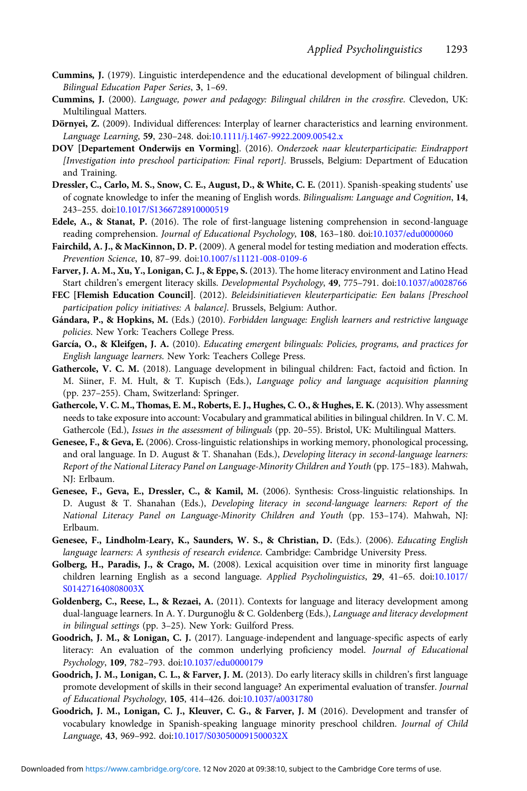- <span id="page-25-0"></span>Cummins, J. (1979). Linguistic interdependence and the educational development of bilingual children. Bilingual Education Paper Series, 3, 1–69.
- Cummins, J. (2000). Language, power and pedagogy: Bilingual children in the crossfire. Clevedon, UK: Multilingual Matters.
- Dörnyei, Z. (2009). Individual differences: Interplay of learner characteristics and learning environment. Language Learning, 59, 230–248. doi:[10.1111/j.1467-9922.2009.00542.x](https://doi.org/10.1111/j.1467-9922.2009.00542.x)
- DOV [Departement Onderwijs en Vorming]. (2016). Onderzoek naar kleuterparticipatie: Eindrapport [Investigation into preschool participation: Final report]. Brussels, Belgium: Department of Education and Training.
- Dressler, C., Carlo, M. S., Snow, C. E., August, D., & White, C. E. (2011). Spanish-speaking students' use of cognate knowledge to infer the meaning of English words. Bilingualism: Language and Cognition, 14, 243–255. doi:[10.1017/S1366728910000519](https://doi.org/10.1017/S1366728910000519)
- Edele, A., & Stanat, P. (2016). The role of first-language listening comprehension in second-language reading comprehension. Journal of Educational Psychology, 108, 163-180. doi:[10.1037/edu0000060](https://doi.org/10.1037/edu0000060)
- Fairchild, A. J., & MacKinnon, D. P. (2009). A general model for testing mediation and moderation effects. Prevention Science, 10, 87–99. doi:[10.1007/s11121-008-0109-6](https://doi.org/10.1007/s11121-008-0109-6)
- Farver, J. A. M., Xu, Y., Lonigan, C. J., & Eppe, S. (2013). The home literacy environment and Latino Head Start children's emergent literacy skills. Developmental Psychology, 49, 775–791. doi[:10.1037/a0028766](https://doi.org/10.1037/a0028766)
- FEC [Flemish Education Council]. (2012). Beleidsinitiatieven kleuterparticipatie: Een balans [Preschool participation policy initiatives: A balance]. Brussels, Belgium: Author.
- Gándara, P., & Hopkins, M. (Eds.) (2010). Forbidden language: English learners and restrictive language policies. New York: Teachers College Press.
- García, O., & Kleifgen, J. A. (2010). Educating emergent bilinguals: Policies, programs, and practices for English language learners. New York: Teachers College Press.
- Gathercole, V. C. M. (2018). Language development in bilingual children: Fact, factoid and fiction. In M. Siiner, F. M. Hult, & T. Kupisch (Eds.), Language policy and language acquisition planning (pp. 237–255). Cham, Switzerland: Springer.
- Gathercole, V. C. M., Thomas, E. M., Roberts, E. J., Hughes, C. O., & Hughes, E. K. (2013). Why assessment needs to take exposure into account: Vocabulary and grammatical abilities in bilingual children. In V. C. M. Gathercole (Ed.), Issues in the assessment of bilinguals (pp. 20–55). Bristol, UK: Multilingual Matters.
- Genesee, F., & Geva, E. (2006). Cross-linguistic relationships in working memory, phonological processing, and oral language. In D. August & T. Shanahan (Eds.), Developing literacy in second-language learners: Report of the National Literacy Panel on Language-Minority Children and Youth (pp. 175–183). Mahwah, NJ: Erlbaum.
- Genesee, F., Geva, E., Dressler, C., & Kamil, M. (2006). Synthesis: Cross-linguistic relationships. In D. August & T. Shanahan (Eds.), Developing literacy in second-language learners: Report of the National Literacy Panel on Language-Minority Children and Youth (pp. 153–174). Mahwah, NJ: Erlbaum.
- Genesee, F., Lindholm-Leary, K., Saunders, W. S., & Christian, D. (Eds.). (2006). Educating English language learners: A synthesis of research evidence. Cambridge: Cambridge University Press.
- Golberg, H., Paradis, J., & Crago, M. (2008). Lexical acquisition over time in minority first language children learning English as a second language. Applied Psycholinguistics, 29, 41–65. doi[:10.1017/](https://doi.org/10.1017/S014271640808003X) [S014271640808003X](https://doi.org/10.1017/S014271640808003X)
- Goldenberg, C., Reese, L., & Rezaei, A. (2011). Contexts for language and literacy development among dual-language learners. In A. Y. Durgunoğlu & C. Goldenberg (Eds.), Language and literacy development in bilingual settings (pp. 3–25). New York: Guilford Press.
- Goodrich, J. M., & Lonigan, C. J. (2017). Language-independent and language-specific aspects of early literacy: An evaluation of the common underlying proficiency model. Journal of Educational Psychology, 109, 782–793. doi[:10.1037/edu0000179](https://doi.org/10.1037/edu0000179)
- Goodrich, J. M., Lonigan, C. L., & Farver, J. M. (2013). Do early literacy skills in children's first language promote development of skills in their second language? An experimental evaluation of transfer. Journal of Educational Psychology, 105, 414–426. doi[:10.1037/a0031780](https://doi.org/10.1037/a0031780)
- Goodrich, J. M., Lonigan, C. J., Kleuver, C. G., & Farver, J. M (2016). Development and transfer of vocabulary knowledge in Spanish-speaking language minority preschool children. Journal of Child Language, 43, 969–992. doi:[10.1017/S030500091500032X](https://doi.org/10.1017/S030500091500032X)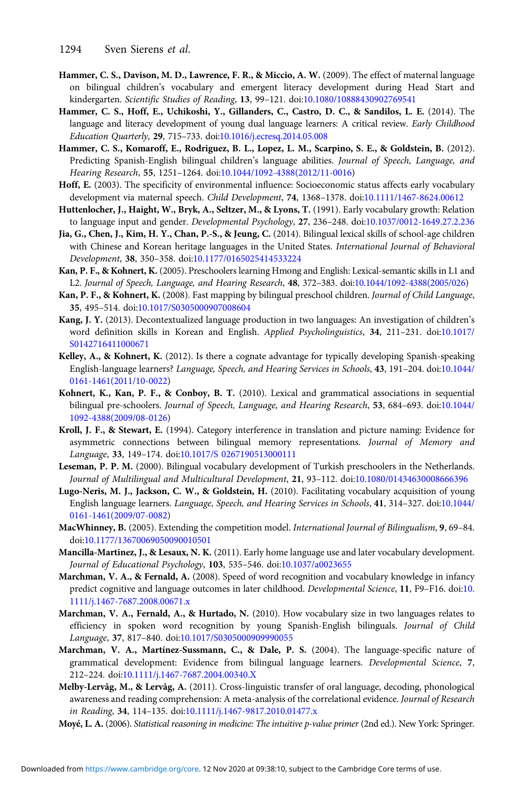- <span id="page-26-0"></span>Hammer, C. S., Davison, M. D., Lawrence, F. R., & Miccio, A. W. (2009). The effect of maternal language on bilingual children's vocabulary and emergent literacy development during Head Start and kindergarten. Scientific Studies of Reading, 13, 99–121. doi[:10.1080/10888430902769541](https://doi.org/10.1080/10888430902769541)
- Hammer, C. S., Hoff, E., Uchikoshi, Y., Gillanders, C., Castro, D. C., & Sandilos, L. E. (2014). The language and literacy development of young dual language learners: A critical review. Early Childhood Education Quarterly, 29, 715–733. doi:[10.1016/j.ecresq.2014.05.008](https://doi.org/10.1016/j.ecresq.2014.05.008)
- Hammer, C. S., Komaroff, E., Rodriguez, B. L., Lopez, L. M., Scarpino, S. E., & Goldstein, B. (2012). Predicting Spanish-English bilingual children's language abilities. Journal of Speech, Language, and Hearing Research, 55, 1251–1264. doi:[10.1044/1092-4388\(2012/11-0016\)](https://doi.org/10.1044/1092-4388(2012/11-0016)
- Hoff, E. (2003). The specificity of environmental influence: Socioeconomic status affects early vocabulary development via maternal speech. Child Development, 74, 1368–1378. doi:[10.1111/1467-8624.00612](https://doi.org/10.1111/1467-8624.00612)
- Huttenlocher, J., Haight, W., Bryk, A., Seltzer, M., & Lyons, T. (1991). Early vocabulary growth: Relation to language input and gender. Developmental Psychology, 27, 236–248. doi[:10.1037/0012-1649.27.2.236](https://doi.org/10.1037/0012-1649.27.2.236)
- Jia, G., Chen, J., Kim, H. Y., Chan, P.-S., & Jeung, C. (2014). Bilingual lexical skills of school-age children with Chinese and Korean heritage languages in the United States. International Journal of Behavioral Development, 38, 350–358. doi:[10.1177/0165025414533224](https://doi.org/10.1177/0165025414533224)
- Kan, P. F., & Kohnert, K. (2005). Preschoolers learning Hmong and English: Lexical-semantic skills in L1 and L2. Journal of Speech, Language, and Hearing Research, 48, 372–383. doi[:10.1044/1092-4388\(2005/026](https://doi.org/10.1044/1092-4388(2005/026))
- Kan, P. F., & Kohnert, K. (2008). Fast mapping by bilingual preschool children. Journal of Child Language, 35, 495–514. doi:[10.1017/S0305000907008604](https://doi.org/10.1017/S0305000907008604)
- Kang, J. Y. (2013). Decontextualized language production in two languages: An investigation of children's word definition skills in Korean and English. Applied Psycholinguistics, 34, 211–231. doi:[10.1017/](https://doi.org/10.1017/S0142716411000671) [S0142716411000671](https://doi.org/10.1017/S0142716411000671)
- Kelley, A., & Kohnert, K. (2012). Is there a cognate advantage for typically developing Spanish-speaking English-language learners? Language, Speech, and Hearing Services in Schools, 43, 191–204. doi:[10.1044/](https://doi.org/10.1044/0161-1461(2011/10-0022) [0161-1461\(2011/10-0022\)](https://doi.org/10.1044/0161-1461(2011/10-0022)
- Kohnert, K., Kan, P. F., & Conboy, B. T. (2010). Lexical and grammatical associations in sequential bilingual pre-schoolers. Journal of Speech, Language, and Hearing Research, 53, 684–693. doi:[10.1044/](https://doi.org/10.1044/1092-4388(2009/08-0126) [1092-4388\(2009/08-0126\)](https://doi.org/10.1044/1092-4388(2009/08-0126)
- Kroll, J. F., & Stewart, E. (1994). Category interference in translation and picture naming: Evidence for asymmetric connections between bilingual memory representations. Journal of Memory and Language, 33, 149–174. doi[:10.1017/S 0267190513000111](https://doi.org/10.1017/S 0267190513000111)
- Leseman, P. P. M. (2000). Bilingual vocabulary development of Turkish preschoolers in the Netherlands. Journal of Multilingual and Multicultural Development, 21, 93–112. doi[:10.1080/01434630008666396](https://doi.org/10.1080/01434630008666396)
- Lugo-Neris, M. J., Jackson, C. W., & Goldstein, H. (2010). Facilitating vocabulary acquisition of young English language learners. Language, Speech, and Hearing Services in Schools, 41, 314–327. doi:[10.1044/](https://doi.org/10.1044/0161-1461(2009/07-0082) [0161-1461\(2009/07-0082\)](https://doi.org/10.1044/0161-1461(2009/07-0082)
- MacWhinney, B. (2005). Extending the competition model. International Journal of Bilingualism, 9, 69–84. doi:[10.1177/13670069050090010501](https://doi.org/10.1177/13670069050090010501)
- Mancilla-Martinez, J., & Lesaux, N. K. (2011). Early home language use and later vocabulary development. Journal of Educational Psychology, 103, 535–546. doi[:10.1037/a0023655](https://doi.org/10.1037/a0023655)
- Marchman, V. A., & Fernald, A. (2008). Speed of word recognition and vocabulary knowledge in infancy predict cognitive and language outcomes in later childhood. Developmental Science, 11, F9–F16. doi:[10.](https://doi.org/10.1111/j.1467-7687.2008.00671.x) [1111/j.1467-7687.2008.00671.x](https://doi.org/10.1111/j.1467-7687.2008.00671.x)
- Marchman, V. A., Fernald, A., & Hurtado, N. (2010). How vocabulary size in two languages relates to efficiency in spoken word recognition by young Spanish-English bilinguals. Journal of Child Language, 37, 817–840. doi[:10.1017/S0305000909990055](https://doi.org/10.1017/S0305000909990055)
- Marchman, V. A., Martínez-Sussmann, C., & Dale, P. S. (2004). The language-specific nature of grammatical development: Evidence from bilingual language learners. Developmental Science, 7, 212–224. doi[:10.1111/j.1467-7687.2004.00340.X](https://doi.org/10.1111/j.1467-7687.2004.00340.X)
- Melby-Lervåg, M., & Lervåg, A. (2011). Cross-linguistic transfer of oral language, decoding, phonological awareness and reading comprehension: A meta-analysis of the correlational evidence. Journal of Research in Reading, 34, 114–135. doi:[10.1111/j.1467-9817.2010.01477.x](https://doi.org/10.1111/j.1467-9817.2010.01477.x)
- Moyé, L. A. (2006). Statistical reasoning in medicine: The intuitive p-value primer (2nd ed.). New York: Springer.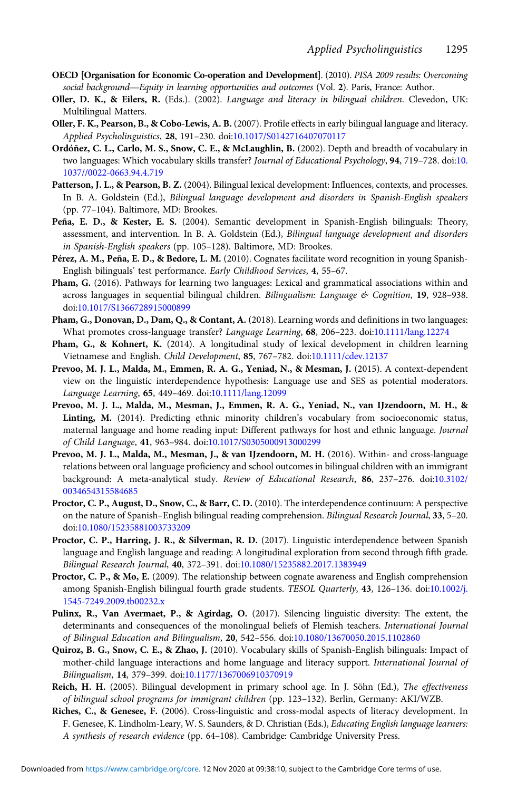- <span id="page-27-0"></span>**OECD [Organisation for Economic Co-operation and Development]**. (2010). PISA 2009 results: Overcoming Applied Psycholinguistics<br>Social background—Equity in learning opportunities and outcomes (Vol. 2). Paris, France: Author.<br>Social background—Equity in learning opportunities and outcomes (Vol. 2). Paris, France: Author.
- Oller, D. K., & Eilers, R. (Eds.). (2002). Language and literacy in bilingual children. Clevedon, UK: Multilingual Matters.
- Oller, F. K., Pearson, B., & Cobo-Lewis, A. B. (2007). Profile effects in early bilingual language and literacy. Applied Psycholinguistics, 28, 191–230. doi:[10.1017/S0142716407070117](https://doi.org/10.1017/S0142716407070117)
- Ordóñez, C. L., Carlo, M. S., Snow, C. E., & McLaughlin, B. (2002). Depth and breadth of vocabulary in two languages: Which vocabulary skills transfer? Journal of Educational Psychology, 94, 719-728. doi[:10.](https://doi.org/10.1037//0022-0663.94.4.719) [1037//0022-0663.94.4.719](https://doi.org/10.1037//0022-0663.94.4.719)
- Patterson, J. L., & Pearson, B. Z. (2004). Bilingual lexical development: Influences, contexts, and processes. In B. A. Goldstein (Ed.), Bilingual language development and disorders in Spanish-English speakers (pp. 77–104). Baltimore, MD: Brookes.
- Peña, E. D., & Kester, E. S. (2004). Semantic development in Spanish-English bilinguals: Theory, assessment, and intervention. In B. A. Goldstein (Ed.), Bilingual language development and disorders in Spanish-English speakers (pp. 105–128). Baltimore, MD: Brookes.
- Pérez, A. M., Peña, E. D., & Bedore, L. M. (2010). Cognates facilitate word recognition in young Spanish-English bilinguals' test performance. Early Childhood Services, 4, 55–67.
- Pham, G. (2016). Pathways for learning two languages: Lexical and grammatical associations within and across languages in sequential bilingual children. Bilingualism: Language  $\&$  Cognition, 19, 928–938. doi[:10.1017/S1366728915000899](https://doi.org/10.1017/S1366728915000899)
- Pham, G., Donovan, D., Dam, Q., & Contant, A. (2018). Learning words and definitions in two languages: What promotes cross-language transfer? Language Learning, 68, 206-223. doi:[10.1111/lang.12274](https://doi.org/10.1111/lang.12274)
- Pham, G., & Kohnert, K. (2014). A longitudinal study of lexical development in children learning Vietnamese and English. Child Development, 85, 767–782. doi:[10.1111/cdev.12137](https://doi.org/10.1111/cdev.12137)
- Prevoo, M. J. L., Malda, M., Emmen, R. A. G., Yeniad, N., & Mesman, J. (2015). A context-dependent view on the linguistic interdependence hypothesis: Language use and SES as potential moderators. Language Learning, 65, 449–469. doi:[10.1111/lang.12099](https://doi.org/10.1111/lang.12099)
- Prevoo, M. J. L., Malda, M., Mesman, J., Emmen, R. A. G., Yeniad, N., van IJzendoorn, M. H., & Linting, M. (2014). Predicting ethnic minority children's vocabulary from socioeconomic status, maternal language and home reading input: Different pathways for host and ethnic language. Journal of Child Language, 41, 963–984. doi[:10.1017/S0305000913000299](https://doi.org/10.1017/S0305000913000299)
- Prevoo, M. J. L., Malda, M., Mesman, J., & van IJzendoorn, M. H. (2016). Within- and cross-language relations between oral language proficiency and school outcomes in bilingual children with an immigrant background: A meta-analytical study. Review of Educational Research, 86, 237–276. doi[:10.3102/](https://doi.org/10.3102/0034654315584685) [0034654315584685](https://doi.org/10.3102/0034654315584685)
- Proctor, C. P., August, D., Snow, C., & Barr, C. D. (2010). The interdependence continuum: A perspective on the nature of Spanish–English bilingual reading comprehension. Bilingual Research Journal, 33, 5–20. doi[:10.1080/15235881003733209](https://doi.org/10.1080/15235881003733209)
- Proctor, C. P., Harring, J. R., & Silverman, R. D. (2017). Linguistic interdependence between Spanish language and English language and reading: A longitudinal exploration from second through fifth grade. Bilingual Research Journal, 40, 372–391. doi[:10.1080/15235882.2017.1383949](https://doi.org/10.1080/15235882.2017.1383949)
- Proctor, C. P., & Mo, E. (2009). The relationship between cognate awareness and English comprehension among Spanish-English bilingual fourth grade students. TESOL Quarterly, 43, 126–136. doi[:10.1002/j.](https://doi.org/10.1002/j.1545-7249.2009.tb00232.x) [1545-7249.2009.tb00232.x](https://doi.org/10.1002/j.1545-7249.2009.tb00232.x)
- Pulinx, R., Van Avermaet, P., & Agirdag, O. (2017). Silencing linguistic diversity: The extent, the determinants and consequences of the monolingual beliefs of Flemish teachers. International Journal of Bilingual Education and Bilingualism, 20, 542–556. doi[:10.1080/13670050.2015.1102860](https://doi.org/10.1080/13670050.2015.1102860)
- Quiroz, B. G., Snow, C. E., & Zhao, J. (2010). Vocabulary skills of Spanish-English bilinguals: Impact of mother-child language interactions and home language and literacy support. International Journal of Bilingualism, 14, 379–399. doi[:10.1177/1367006910370919](https://doi.org/10.1177/1367006910370919)
- Reich, H. H. (2005). Bilingual development in primary school age. In J. Söhn (Ed.), The effectiveness of bilingual school programs for immigrant children (pp. 123–132). Berlin, Germany: AKI/WZB.
- Riches, C., & Genesee, F. (2006). Cross-linguistic and cross-modal aspects of literacy development. In F. Genesee, K. Lindholm-Leary, W. S. Saunders, & D. Christian (Eds.), Educating English language learners: A synthesis of research evidence (pp. 64–108). Cambridge: Cambridge University Press.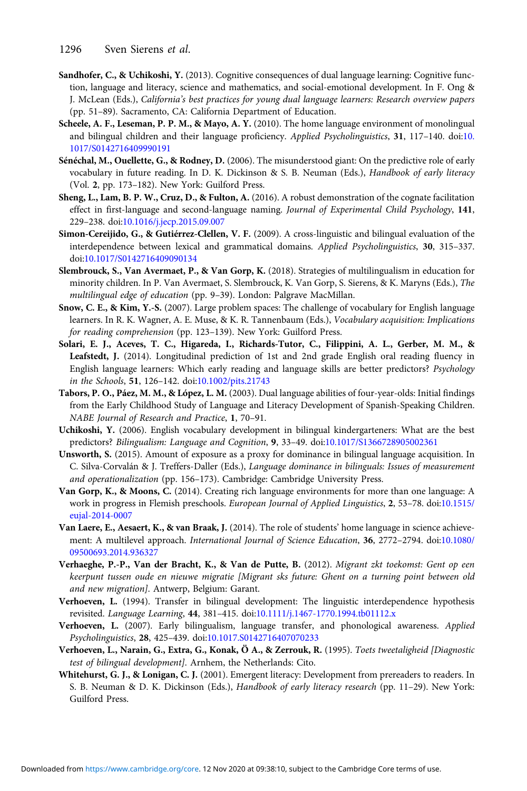- <span id="page-28-0"></span>Sandhofer, C., & Uchikoshi, Y. (2013). Cognitive consequences of dual language learning: Cognitive function, language and literacy, science and mathematics, and social-emotional development. In F. Ong & J. McLean (Eds.), California's best practices for young dual language learners: Research overview papers (pp. 51–89). Sacramento, CA: California Department of Education.
- Scheele, A. F., Leseman, P. P. M., & Mayo, A. Y. (2010). The home language environment of monolingual and bilingual children and their language proficiency. Applied Psycholinguistics, 31, 117–140. doi:[10.](https://doi.org/10.1017/S0142716409990191) [1017/S0142716409990191](https://doi.org/10.1017/S0142716409990191)
- Sénéchal, M., Ouellette, G., & Rodney, D. (2006). The misunderstood giant: On the predictive role of early vocabulary in future reading. In D. K. Dickinson & S. B. Neuman (Eds.), Handbook of early literacy (Vol. 2, pp. 173–182). New York: Guilford Press.
- Sheng, L., Lam, B. P. W., Cruz, D., & Fulton, A. (2016). A robust demonstration of the cognate facilitation effect in first-language and second-language naming. Journal of Experimental Child Psychology, 141, 229–238. doi[:10.1016/j.jecp.2015.09.007](https://doi.org/10.1016/j.jecp.2015.09.007)
- Simon-Cereijido, G., & Gutiérrez-Clellen, V. F. (2009). A cross-linguistic and bilingual evaluation of the interdependence between lexical and grammatical domains. Applied Psycholinguistics, 30, 315–337. doi:[10.1017/S0142716409090134](https://doi.org/10.1017/S0142716409090134)
- Slembrouck, S., Van Avermaet, P., & Van Gorp, K. (2018). Strategies of multilingualism in education for minority children. In P. Van Avermaet, S. Slembrouck, K. Van Gorp, S. Sierens, & K. Maryns (Eds.), The multilingual edge of education (pp. 9–39). London: Palgrave MacMillan.
- Snow, C. E., & Kim, Y.-S. (2007). Large problem spaces: The challenge of vocabulary for English language learners. In R. K. Wagner, A. E. Muse, & K. R. Tannenbaum (Eds.), Vocabulary acquisition: Implications for reading comprehension (pp. 123–139). New York: Guilford Press.
- Solari, E. J., Aceves, T. C., Higareda, I., Richards-Tutor, C., Filippini, A. L., Gerber, M. M., & Leafstedt, J. (2014). Longitudinal prediction of 1st and 2nd grade English oral reading fluency in English language learners: Which early reading and language skills are better predictors? Psychology in the Schools, 51, 126–142. doi[:10.1002/pits.21743](https://doi.org/10.1002/pits.21743)
- Tabors, P. O., Páez, M. M., & López, L. M. (2003). Dual language abilities of four-year-olds: Initial findings from the Early Childhood Study of Language and Literacy Development of Spanish-Speaking Children. NABE Journal of Research and Practice, 1, 70–91.
- Uchikoshi, Y. (2006). English vocabulary development in bilingual kindergarteners: What are the best predictors? Bilingualism: Language and Cognition, 9, 33–49. doi:[10.1017/S1366728905002361](https://doi.org/10.1017/S1366728905002361)
- Unsworth, S. (2015). Amount of exposure as a proxy for dominance in bilingual language acquisition. In C. Silva-Corvalán & J. Treffers-Daller (Eds.), Language dominance in bilinguals: Issues of measurement and operationalization (pp. 156–173). Cambridge: Cambridge University Press.
- Van Gorp, K., & Moons, C. (2014). Creating rich language environments for more than one language: A work in progress in Flemish preschools. European Journal of Applied Linguistics, 2, 53–78. doi:[10.1515/](https://doi.org/10.1515/eujal-2014-0007) [eujal-2014-0007](https://doi.org/10.1515/eujal-2014-0007)
- Van Laere, E., Aesaert, K., & van Braak, J. (2014). The role of students' home language in science achievement: A multilevel approach. International Journal of Science Education, 36, 2772–2794. doi:[10.1080/](https://doi.org/10.1080/09500693.2014.936327) [09500693.2014.936327](https://doi.org/10.1080/09500693.2014.936327)
- Verhaeghe, P.-P., Van der Bracht, K., & Van de Putte, B. (2012). Migrant zkt toekomst: Gent op een keerpunt tussen oude en nieuwe migratie [Migrant sks future: Ghent on a turning point between old and new migration]. Antwerp, Belgium: Garant.
- Verhoeven, L. (1994). Transfer in bilingual development: The linguistic interdependence hypothesis revisited. Language Learning, 44, 381–415. doi[:10.1111/j.1467-1770.1994.tb01112.x](https://doi.org/10.1111/j.1467-1770.1994.tb01112.x)
- Verhoeven, L. (2007). Early bilingualism, language transfer, and phonological awareness. Applied Psycholinguistics, 28, 425–439. doi[:10.1017.S0142716407070233](https://doi.org/10.1017.S0142716407070233)
- Verhoeven, L., Narain, G., Extra, G., Konak, Ö A., & Zerrouk, R. (1995). Toets tweetaligheid [Diagnostic test of bilingual development]. Arnhem, the Netherlands: Cito.
- Whitehurst, G. J., & Lonigan, C. J. (2001). Emergent literacy: Development from prereaders to readers. In S. B. Neuman & D. K. Dickinson (Eds.), Handbook of early literacy research (pp. 11–29). New York: Guilford Press.